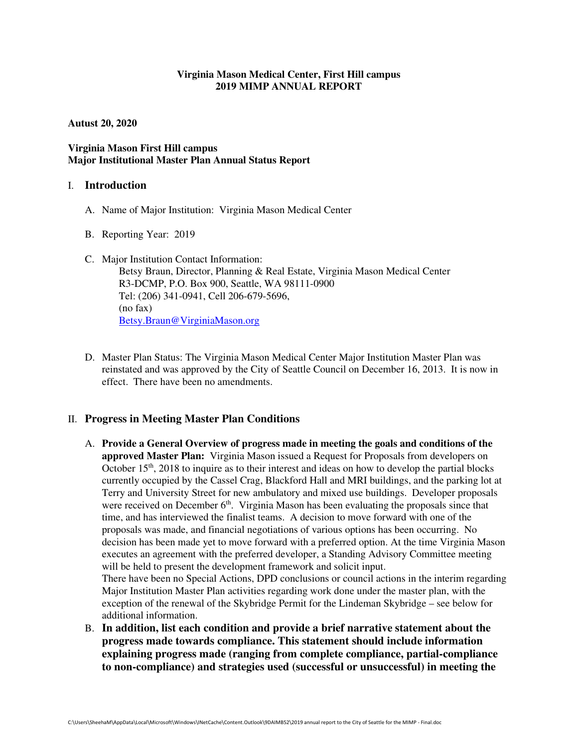## **Virginia Mason Medical Center, First Hill campus 2019 MIMP ANNUAL REPORT**

**Autust 20, 2020** 

## **Virginia Mason First Hill campus Major Institutional Master Plan Annual Status Report**

### I. **Introduction**

- A. Name of Major Institution: Virginia Mason Medical Center
- B. Reporting Year: 2019
- C. Major Institution Contact Information: Betsy Braun, Director, Planning & Real Estate, Virginia Mason Medical Center R3-DCMP, P.O. Box 900, Seattle, WA 98111-0900 Tel: (206) 341-0941, Cell 206-679-5696, (no fax) Betsy.Braun@VirginiaMason.org
- D. Master Plan Status: The Virginia Mason Medical Center Major Institution Master Plan was reinstated and was approved by the City of Seattle Council on December 16, 2013. It is now in effect. There have been no amendments.

## II. **Progress in Meeting Master Plan Conditions**

A. **Provide a General Overview of progress made in meeting the goals and conditions of the approved Master Plan:** Virginia Mason issued a Request for Proposals from developers on October  $15<sup>th</sup>$ , 2018 to inquire as to their interest and ideas on how to develop the partial blocks currently occupied by the Cassel Crag, Blackford Hall and MRI buildings, and the parking lot at Terry and University Street for new ambulatory and mixed use buildings. Developer proposals were received on December  $6<sup>th</sup>$ . Virginia Mason has been evaluating the proposals since that time, and has interviewed the finalist teams. A decision to move forward with one of the proposals was made, and financial negotiations of various options has been occurring. No decision has been made yet to move forward with a preferred option. At the time Virginia Mason executes an agreement with the preferred developer, a Standing Advisory Committee meeting will be held to present the development framework and solicit input.

There have been no Special Actions, DPD conclusions or council actions in the interim regarding Major Institution Master Plan activities regarding work done under the master plan, with the exception of the renewal of the Skybridge Permit for the Lindeman Skybridge – see below for additional information.

B. **In addition, list each condition and provide a brief narrative statement about the progress made towards compliance. This statement should include information explaining progress made (ranging from complete compliance, partial-compliance to non-compliance) and strategies used (successful or unsuccessful) in meeting the**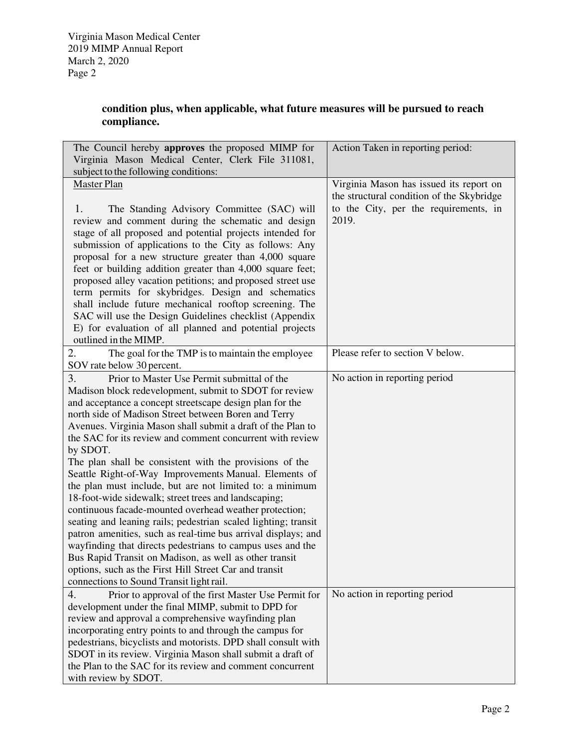# **condition plus, when applicable, what future measures will be pursued to reach compliance.**

| The Council hereby approves the proposed MIMP for<br>Virginia Mason Medical Center, Clerk File 311081,<br>subject to the following conditions:                                                                                                                                                                                                                                                                                                                                                                                                                                                                                                                                                                                                                                                                                                                                                                                                                                                                                             | Action Taken in reporting period:                                                                                                      |
|--------------------------------------------------------------------------------------------------------------------------------------------------------------------------------------------------------------------------------------------------------------------------------------------------------------------------------------------------------------------------------------------------------------------------------------------------------------------------------------------------------------------------------------------------------------------------------------------------------------------------------------------------------------------------------------------------------------------------------------------------------------------------------------------------------------------------------------------------------------------------------------------------------------------------------------------------------------------------------------------------------------------------------------------|----------------------------------------------------------------------------------------------------------------------------------------|
| <b>Master Plan</b><br>The Standing Advisory Committee (SAC) will<br>1.<br>review and comment during the schematic and design<br>stage of all proposed and potential projects intended for<br>submission of applications to the City as follows: Any<br>proposal for a new structure greater than 4,000 square<br>feet or building addition greater than 4,000 square feet;<br>proposed alley vacation petitions; and proposed street use<br>term permits for skybridges. Design and schematics<br>shall include future mechanical rooftop screening. The<br>SAC will use the Design Guidelines checklist (Appendix<br>E) for evaluation of all planned and potential projects<br>outlined in the MIMP.                                                                                                                                                                                                                                                                                                                                     | Virginia Mason has issued its report on<br>the structural condition of the Skybridge<br>to the City, per the requirements, in<br>2019. |
| 2.<br>The goal for the TMP is to maintain the employee<br>SOV rate below 30 percent.                                                                                                                                                                                                                                                                                                                                                                                                                                                                                                                                                                                                                                                                                                                                                                                                                                                                                                                                                       | Please refer to section V below.                                                                                                       |
| 3.<br>Prior to Master Use Permit submittal of the<br>Madison block redevelopment, submit to SDOT for review<br>and acceptance a concept streetscape design plan for the<br>north side of Madison Street between Boren and Terry<br>Avenues. Virginia Mason shall submit a draft of the Plan to<br>the SAC for its review and comment concurrent with review<br>by SDOT.<br>The plan shall be consistent with the provisions of the<br>Seattle Right-of-Way Improvements Manual. Elements of<br>the plan must include, but are not limited to: a minimum<br>18-foot-wide sidewalk; street trees and landscaping;<br>continuous facade-mounted overhead weather protection;<br>seating and leaning rails; pedestrian scaled lighting; transit<br>patron amenities, such as real-time bus arrival displays; and<br>wayfinding that directs pedestrians to campus uses and the<br>Bus Rapid Transit on Madison, as well as other transit<br>options, such as the First Hill Street Car and transit<br>connections to Sound Transit light rail. | No action in reporting period                                                                                                          |
| 4.<br>Prior to approval of the first Master Use Permit for<br>development under the final MIMP, submit to DPD for<br>review and approval a comprehensive wayfinding plan<br>incorporating entry points to and through the campus for<br>pedestrians, bicyclists and motorists. DPD shall consult with<br>SDOT in its review. Virginia Mason shall submit a draft of<br>the Plan to the SAC for its review and comment concurrent<br>with review by SDOT.                                                                                                                                                                                                                                                                                                                                                                                                                                                                                                                                                                                   | No action in reporting period                                                                                                          |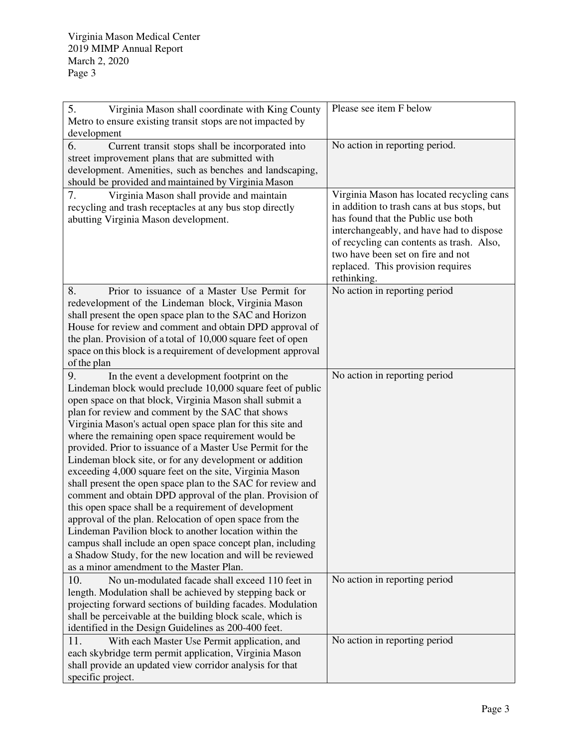| 5.<br>Virginia Mason shall coordinate with King County<br>Metro to ensure existing transit stops are not impacted by<br>development                                                                                                                                                                                                                                                                                                                                                                                                                                                                                                                                                                                                                                                                                                                                                                                                                                                                                      | Please see item F below                                                                                                                                                                                                                                                                                          |
|--------------------------------------------------------------------------------------------------------------------------------------------------------------------------------------------------------------------------------------------------------------------------------------------------------------------------------------------------------------------------------------------------------------------------------------------------------------------------------------------------------------------------------------------------------------------------------------------------------------------------------------------------------------------------------------------------------------------------------------------------------------------------------------------------------------------------------------------------------------------------------------------------------------------------------------------------------------------------------------------------------------------------|------------------------------------------------------------------------------------------------------------------------------------------------------------------------------------------------------------------------------------------------------------------------------------------------------------------|
| 6.<br>Current transit stops shall be incorporated into<br>street improvement plans that are submitted with<br>development. Amenities, such as benches and landscaping,<br>should be provided and maintained by Virginia Mason                                                                                                                                                                                                                                                                                                                                                                                                                                                                                                                                                                                                                                                                                                                                                                                            | No action in reporting period.                                                                                                                                                                                                                                                                                   |
| 7.<br>Virginia Mason shall provide and maintain<br>recycling and trash receptacles at any bus stop directly<br>abutting Virginia Mason development.                                                                                                                                                                                                                                                                                                                                                                                                                                                                                                                                                                                                                                                                                                                                                                                                                                                                      | Virginia Mason has located recycling cans<br>in addition to trash cans at bus stops, but<br>has found that the Public use both<br>interchangeably, and have had to dispose<br>of recycling can contents as trash. Also,<br>two have been set on fire and not<br>replaced. This provision requires<br>rethinking. |
| 8.<br>Prior to issuance of a Master Use Permit for<br>redevelopment of the Lindeman block, Virginia Mason<br>shall present the open space plan to the SAC and Horizon<br>House for review and comment and obtain DPD approval of<br>the plan. Provision of a total of 10,000 square feet of open<br>space on this block is a requirement of development approval<br>of the plan                                                                                                                                                                                                                                                                                                                                                                                                                                                                                                                                                                                                                                          | No action in reporting period                                                                                                                                                                                                                                                                                    |
| 9.<br>In the event a development footprint on the<br>Lindeman block would preclude 10,000 square feet of public<br>open space on that block, Virginia Mason shall submit a<br>plan for review and comment by the SAC that shows<br>Virginia Mason's actual open space plan for this site and<br>where the remaining open space requirement would be<br>provided. Prior to issuance of a Master Use Permit for the<br>Lindeman block site, or for any development or addition<br>exceeding 4,000 square feet on the site, Virginia Mason<br>shall present the open space plan to the SAC for review and<br>comment and obtain DPD approval of the plan. Provision of<br>this open space shall be a requirement of development<br>approval of the plan. Relocation of open space from the<br>Lindeman Pavilion block to another location within the<br>campus shall include an open space concept plan, including<br>a Shadow Study, for the new location and will be reviewed<br>as a minor amendment to the Master Plan. | No action in reporting period                                                                                                                                                                                                                                                                                    |
| 10.<br>No un-modulated facade shall exceed 110 feet in<br>length. Modulation shall be achieved by stepping back or<br>projecting forward sections of building facades. Modulation<br>shall be perceivable at the building block scale, which is<br>identified in the Design Guidelines as 200-400 feet.                                                                                                                                                                                                                                                                                                                                                                                                                                                                                                                                                                                                                                                                                                                  | No action in reporting period                                                                                                                                                                                                                                                                                    |
| 11.<br>With each Master Use Permit application, and<br>each skybridge term permit application, Virginia Mason<br>shall provide an updated view corridor analysis for that<br>specific project.                                                                                                                                                                                                                                                                                                                                                                                                                                                                                                                                                                                                                                                                                                                                                                                                                           | No action in reporting period                                                                                                                                                                                                                                                                                    |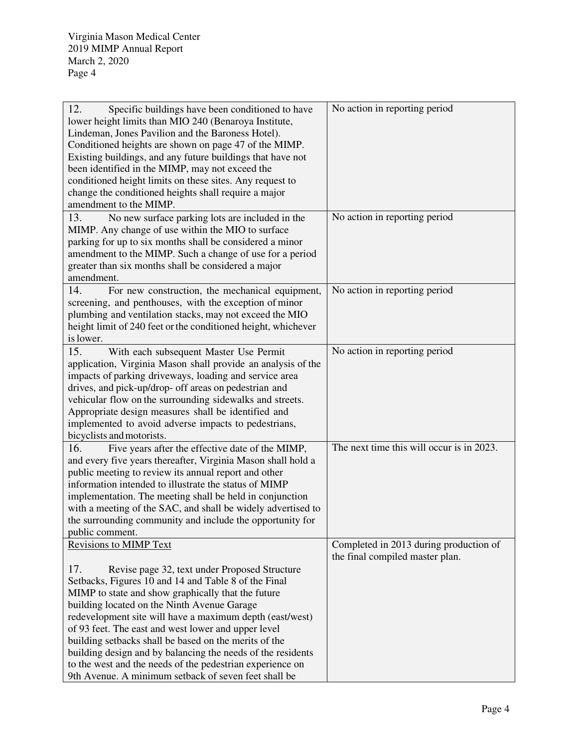| 12.<br>Specific buildings have been conditioned to have       | No action in reporting period             |
|---------------------------------------------------------------|-------------------------------------------|
| lower height limits than MIO 240 (Benaroya Institute,         |                                           |
| Lindeman, Jones Pavilion and the Baroness Hotel).             |                                           |
| Conditioned heights are shown on page 47 of the MIMP.         |                                           |
| Existing buildings, and any future buildings that have not    |                                           |
| been identified in the MIMP, may not exceed the               |                                           |
| conditioned height limits on these sites. Any request to      |                                           |
| change the conditioned heights shall require a major          |                                           |
| amendment to the MIMP.                                        |                                           |
| 13.<br>No new surface parking lots are included in the        | No action in reporting period             |
| MIMP. Any change of use within the MIO to surface             |                                           |
| parking for up to six months shall be considered a minor      |                                           |
| amendment to the MIMP. Such a change of use for a period      |                                           |
| greater than six months shall be considered a major           |                                           |
| amendment.                                                    |                                           |
| 14.<br>For new construction, the mechanical equipment,        | No action in reporting period             |
| screening, and penthouses, with the exception of minor        |                                           |
| plumbing and ventilation stacks, may not exceed the MIO       |                                           |
| height limit of 240 feet or the conditioned height, whichever |                                           |
| is lower.                                                     |                                           |
| 15.<br>With each subsequent Master Use Permit                 | No action in reporting period             |
| application, Virginia Mason shall provide an analysis of the  |                                           |
| impacts of parking driveways, loading and service area        |                                           |
| drives, and pick-up/drop- off areas on pedestrian and         |                                           |
| vehicular flow on the surrounding sidewalks and streets.      |                                           |
| Appropriate design measures shall be identified and           |                                           |
| implemented to avoid adverse impacts to pedestrians,          |                                           |
| bicyclists and motorists.                                     |                                           |
| 16.<br>Five years after the effective date of the MIMP,       | The next time this will occur is in 2023. |
| and every five years thereafter, Virginia Mason shall hold a  |                                           |
| public meeting to review its annual report and other          |                                           |
| information intended to illustrate the status of MIMP         |                                           |
| implementation. The meeting shall be held in conjunction      |                                           |
| with a meeting of the SAC, and shall be widely advertised to  |                                           |
| the surrounding community and include the opportunity for     |                                           |
| public comment.                                               |                                           |
| <b>Revisions to MIMP Text</b>                                 | Completed in 2013 during production of    |
|                                                               | the final compiled master plan.           |
| 17.<br>Revise page 32, text under Proposed Structure          |                                           |
| Setbacks, Figures 10 and 14 and Table 8 of the Final          |                                           |
| MIMP to state and show graphically that the future            |                                           |
| building located on the Ninth Avenue Garage                   |                                           |
| redevelopment site will have a maximum depth (east/west)      |                                           |
| of 93 feet. The east and west lower and upper level           |                                           |
| building setbacks shall be based on the merits of the         |                                           |
| building design and by balancing the needs of the residents   |                                           |
| to the west and the needs of the pedestrian experience on     |                                           |
| 9th Avenue. A minimum setback of seven feet shall be          |                                           |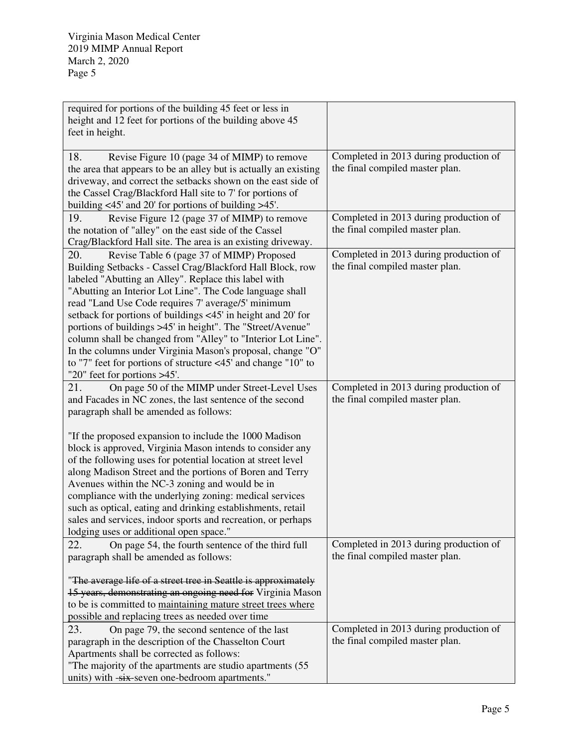| required for portions of the building 45 feet or less in<br>height and 12 feet for portions of the building above 45<br>feet in height.                                                                                                                                                                                                                                                                                                                                                                                                                                                                                                                                                                |                                                                                                                     |
|--------------------------------------------------------------------------------------------------------------------------------------------------------------------------------------------------------------------------------------------------------------------------------------------------------------------------------------------------------------------------------------------------------------------------------------------------------------------------------------------------------------------------------------------------------------------------------------------------------------------------------------------------------------------------------------------------------|---------------------------------------------------------------------------------------------------------------------|
|                                                                                                                                                                                                                                                                                                                                                                                                                                                                                                                                                                                                                                                                                                        |                                                                                                                     |
| 18.<br>Revise Figure 10 (page 34 of MIMP) to remove<br>the area that appears to be an alley but is actually an existing<br>driveway, and correct the setbacks shown on the east side of<br>the Cassel Crag/Blackford Hall site to 7' for portions of<br>building $\langle 45' \rangle$ and 20' for portions of building $>45'$ .                                                                                                                                                                                                                                                                                                                                                                       | Completed in 2013 during production of<br>the final compiled master plan.                                           |
| 19.<br>Revise Figure 12 (page 37 of MIMP) to remove<br>the notation of "alley" on the east side of the Cassel<br>Crag/Blackford Hall site. The area is an existing driveway.                                                                                                                                                                                                                                                                                                                                                                                                                                                                                                                           | Completed in 2013 during production of<br>the final compiled master plan.                                           |
| 20.<br>Revise Table 6 (page 37 of MIMP) Proposed<br>Building Setbacks - Cassel Crag/Blackford Hall Block, row<br>labeled "Abutting an Alley". Replace this label with<br>"Abutting an Interior Lot Line". The Code language shall<br>read "Land Use Code requires 7' average/5' minimum<br>setback for portions of buildings <45' in height and 20' for<br>portions of buildings >45' in height". The "Street/Avenue"<br>column shall be changed from "Alley" to "Interior Lot Line".<br>In the columns under Virginia Mason's proposal, change "O"<br>to "7" feet for portions of structure $\langle 45 \rangle$ and change "10" to<br>"20" feet for portions >45'.                                   | Completed in 2013 during production of<br>the final compiled master plan.                                           |
| 21.<br>On page 50 of the MIMP under Street-Level Uses<br>and Facades in NC zones, the last sentence of the second<br>paragraph shall be amended as follows:<br>"If the proposed expansion to include the 1000 Madison"<br>block is approved, Virginia Mason intends to consider any<br>of the following uses for potential location at street level<br>along Madison Street and the portions of Boren and Terry<br>Avenues within the NC-3 zoning and would be in<br>compliance with the underlying zoning: medical services<br>such as optical, eating and drinking establishments, retail<br>sales and services, indoor sports and recreation, or perhaps<br>lodging uses or additional open space." | Completed in 2013 during production of<br>the final compiled master plan.<br>Completed in 2013 during production of |
| 22.<br>On page 54, the fourth sentence of the third full<br>paragraph shall be amended as follows:<br>"The average life of a street tree in Seattle is approximately<br>15 years, demonstrating an ongoing need for Virginia Mason<br>to be is committed to maintaining mature street trees where<br>possible and replacing trees as needed over time                                                                                                                                                                                                                                                                                                                                                  | the final compiled master plan.                                                                                     |
| 23.<br>On page 79, the second sentence of the last<br>paragraph in the description of the Chasselton Court<br>Apartments shall be corrected as follows:<br>"The majority of the apartments are studio apartments (55<br>units) with -six-seven one-bedroom apartments."                                                                                                                                                                                                                                                                                                                                                                                                                                | Completed in 2013 during production of<br>the final compiled master plan.                                           |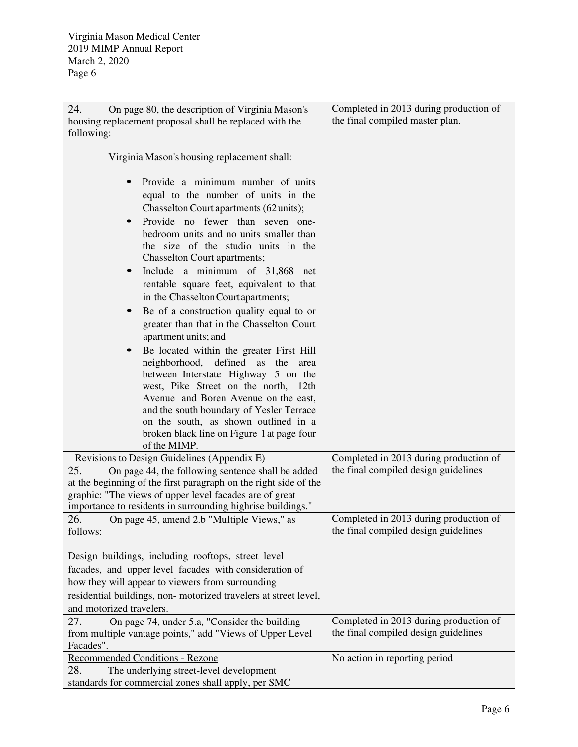| 24.<br>On page 80, the description of Virginia Mason's           | Completed in 2013 during production of |
|------------------------------------------------------------------|----------------------------------------|
| housing replacement proposal shall be replaced with the          | the final compiled master plan.        |
| following:                                                       |                                        |
|                                                                  |                                        |
| Virginia Mason's housing replacement shall:                      |                                        |
|                                                                  |                                        |
| Provide a minimum number of units                                |                                        |
| equal to the number of units in the                              |                                        |
| Chasselton Court apartments (62 units);                          |                                        |
| Provide no fewer than seven one-<br>$\bullet$                    |                                        |
| bedroom units and no units smaller than                          |                                        |
| the size of the studio units in the                              |                                        |
| Chasselton Court apartments;                                     |                                        |
| Include a minimum of 31,868 net                                  |                                        |
| rentable square feet, equivalent to that                         |                                        |
| in the Chasselton Court apartments;                              |                                        |
| Be of a construction quality equal to or                         |                                        |
| greater than that in the Chasselton Court                        |                                        |
| apartment units; and                                             |                                        |
| Be located within the greater First Hill                         |                                        |
| neighborhood,<br>defined<br>as<br>the<br>area                    |                                        |
| between Interstate Highway 5 on the                              |                                        |
| west, Pike Street on the north, 12th                             |                                        |
| Avenue and Boren Avenue on the east,                             |                                        |
| and the south boundary of Yesler Terrace                         |                                        |
| on the south, as shown outlined in a                             |                                        |
| broken black line on Figure 1 at page four                       |                                        |
| of the MIMP.                                                     |                                        |
| Revisions to Design Guidelines (Appendix E)                      | Completed in 2013 during production of |
| 25.<br>On page 44, the following sentence shall be added         | the final compiled design guidelines   |
| at the beginning of the first paragraph on the right side of the |                                        |
| graphic: "The views of upper level facades are of great          |                                        |
| importance to residents in surrounding highrise buildings."      |                                        |
| 26.<br>On page 45, amend 2.b "Multiple Views," as                | Completed in 2013 during production of |
| follows:                                                         | the final compiled design guidelines   |
|                                                                  |                                        |
| Design buildings, including rooftops, street level               |                                        |
| facades, and upper level facades with consideration of           |                                        |
| how they will appear to viewers from surrounding                 |                                        |
| residential buildings, non-motorized travelers at street level,  |                                        |
| and motorized travelers.                                         |                                        |
| 27.<br>On page 74, under 5.a, "Consider the building             | Completed in 2013 during production of |
| from multiple vantage points," add "Views of Upper Level         | the final compiled design guidelines   |
| Facades".                                                        |                                        |
| <b>Recommended Conditions - Rezone</b>                           | No action in reporting period          |
| 28.<br>The underlying street-level development                   |                                        |
| standards for commercial zones shall apply, per SMC              |                                        |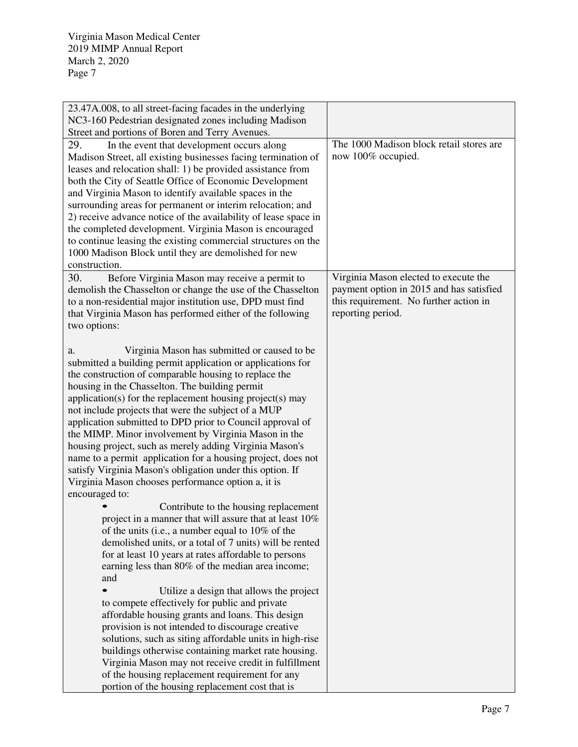| 23.47A.008, to all street-facing facades in the underlying      |                                          |
|-----------------------------------------------------------------|------------------------------------------|
| NC3-160 Pedestrian designated zones including Madison           |                                          |
| Street and portions of Boren and Terry Avenues.                 |                                          |
| 29.<br>In the event that development occurs along               | The 1000 Madison block retail stores are |
| Madison Street, all existing businesses facing termination of   | now 100% occupied.                       |
| leases and relocation shall: 1) be provided assistance from     |                                          |
| both the City of Seattle Office of Economic Development         |                                          |
| and Virginia Mason to identify available spaces in the          |                                          |
| surrounding areas for permanent or interim relocation; and      |                                          |
| 2) receive advance notice of the availability of lease space in |                                          |
| the completed development. Virginia Mason is encouraged         |                                          |
| to continue leasing the existing commercial structures on the   |                                          |
| 1000 Madison Block until they are demolished for new            |                                          |
| construction.                                                   |                                          |
| 30.<br>Before Virginia Mason may receive a permit to            | Virginia Mason elected to execute the    |
| demolish the Chasselton or change the use of the Chasselton     | payment option in 2015 and has satisfied |
| to a non-residential major institution use, DPD must find       | this requirement. No further action in   |
| that Virginia Mason has performed either of the following       | reporting period.                        |
| two options:                                                    |                                          |
|                                                                 |                                          |
| Virginia Mason has submitted or caused to be<br>a.              |                                          |
| submitted a building permit application or applications for     |                                          |
| the construction of comparable housing to replace the           |                                          |
| housing in the Chasselton. The building permit                  |                                          |
| application(s) for the replacement housing project(s) may       |                                          |
| not include projects that were the subject of a MUP             |                                          |
| application submitted to DPD prior to Council approval of       |                                          |
| the MIMP. Minor involvement by Virginia Mason in the            |                                          |
| housing project, such as merely adding Virginia Mason's         |                                          |
| name to a permit application for a housing project, does not    |                                          |
| satisfy Virginia Mason's obligation under this option. If       |                                          |
| Virginia Mason chooses performance option a, it is              |                                          |
| encouraged to:                                                  |                                          |
| Contribute to the housing replacement                           |                                          |
| project in a manner that will assure that at least 10%          |                                          |
| of the units (i.e., a number equal to $10\%$ of the             |                                          |
| demolished units, or a total of 7 units) will be rented         |                                          |
| for at least 10 years at rates affordable to persons            |                                          |
| earning less than 80% of the median area income;                |                                          |
| and                                                             |                                          |
| Utilize a design that allows the project                        |                                          |
| to compete effectively for public and private                   |                                          |
| affordable housing grants and loans. This design                |                                          |
| provision is not intended to discourage creative                |                                          |
| solutions, such as siting affordable units in high-rise         |                                          |
| buildings otherwise containing market rate housing.             |                                          |
| Virginia Mason may not receive credit in fulfillment            |                                          |
| of the housing replacement requirement for any                  |                                          |
| portion of the housing replacement cost that is                 |                                          |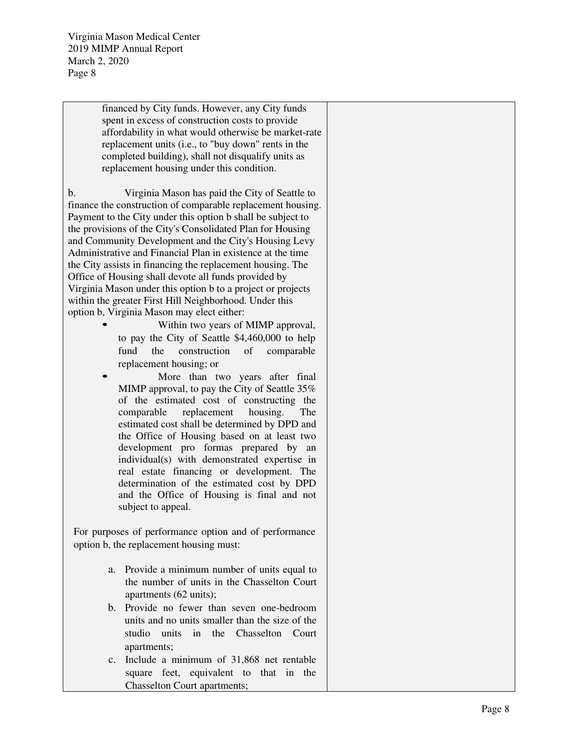> financed by City funds. However, any City funds spent in excess of construction costs to provide affordability in what would otherwise be market-rate replacement units (i.e., to "buy down" rents in the completed building), shall not disqualify units as replacement housing under this condition.

b. Virginia Mason has paid the City of Seattle to finance the construction of comparable replacement housing. Payment to the City under this option b shall be subject to the provisions of the City's Consolidated Plan for Housing and Community Development and the City's Housing Levy Administrative and Financial Plan in existence at the time the City assists in financing the replacement housing. The Office of Housing shall devote all funds provided by Virginia Mason under this option b to a project or projects within the greater First Hill Neighborhood. Under this option b, Virginia Mason may elect either:<br>
• Within two years of MIMP approval,

- to pay the City of Seattle \$4,460,000 to help fund the construction of comparable replacement housing; or
- More than two years after final MIMP approval, to pay the City of Seattle 35% of the estimated cost of constructing the comparable replacement housing. The estimated cost shall be determined by DPD and the Office of Housing based on at least two development pro formas prepared by an individual(s) with demonstrated expertise in real estate financing or development. The determination of the estimated cost by DPD and the Office of Housing is final and not subject to appeal.

For purposes of performance option and of performance option b, the replacement housing must:

- a. Provide a minimum number of units equal to the number of units in the Chasselton Court apartments (62 units);
- b. Provide no fewer than seven one-bedroom units and no units smaller than the size of the studio units in the Chasselton Court apartments;
- c. Include a minimum of 31,868 net rentable square feet, equivalent to that in the Chasselton Court apartments;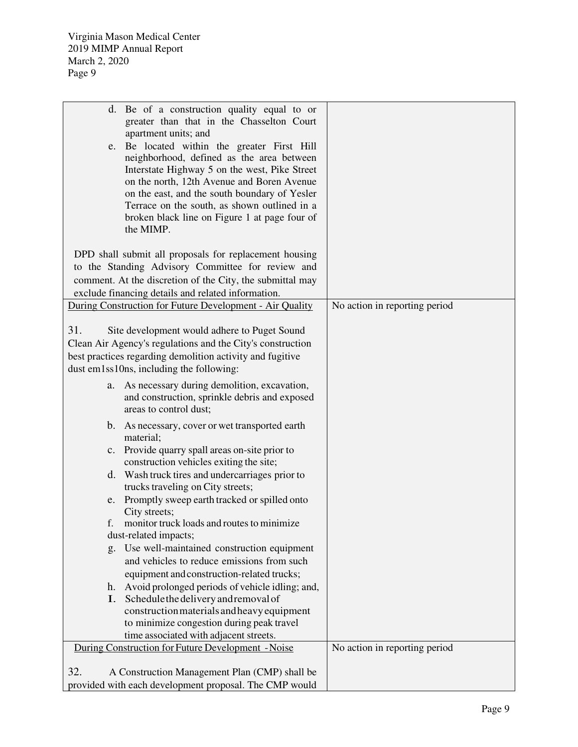| d. Be of a construction quality equal to or<br>greater than that in the Chasselton Court<br>apartment units; and<br>e. Be located within the greater First Hill<br>neighborhood, defined as the area between<br>Interstate Highway 5 on the west, Pike Street<br>on the north, 12th Avenue and Boren Avenue<br>on the east, and the south boundary of Yesler |                               |
|--------------------------------------------------------------------------------------------------------------------------------------------------------------------------------------------------------------------------------------------------------------------------------------------------------------------------------------------------------------|-------------------------------|
| Terrace on the south, as shown outlined in a<br>broken black line on Figure 1 at page four of<br>the MIMP.                                                                                                                                                                                                                                                   |                               |
| DPD shall submit all proposals for replacement housing<br>to the Standing Advisory Committee for review and<br>comment. At the discretion of the City, the submittal may<br>exclude financing details and related information.                                                                                                                               |                               |
| During Construction for Future Development - Air Quality                                                                                                                                                                                                                                                                                                     | No action in reporting period |
| 31.<br>Site development would adhere to Puget Sound<br>Clean Air Agency's regulations and the City's construction<br>best practices regarding demolition activity and fugitive<br>dust em1ss10ns, including the following:                                                                                                                                   |                               |
| As necessary during demolition, excavation,<br>a.<br>and construction, sprinkle debris and exposed<br>areas to control dust;                                                                                                                                                                                                                                 |                               |
| $\mathbf{b}$ .<br>As necessary, cover or wet transported earth<br>material;                                                                                                                                                                                                                                                                                  |                               |
| c. Provide quarry spall areas on-site prior to<br>construction vehicles exiting the site;                                                                                                                                                                                                                                                                    |                               |
| d. Wash truck tires and undercarriages prior to<br>trucks traveling on City streets;                                                                                                                                                                                                                                                                         |                               |
| e. Promptly sweep earth tracked or spilled onto<br>City streets;                                                                                                                                                                                                                                                                                             |                               |
| f. monitor truck loads and routes to minimize                                                                                                                                                                                                                                                                                                                |                               |
| dust-related impacts;<br>g. Use well-maintained construction equipment                                                                                                                                                                                                                                                                                       |                               |
| and vehicles to reduce emissions from such                                                                                                                                                                                                                                                                                                                   |                               |
| equipment and construction-related trucks;                                                                                                                                                                                                                                                                                                                   |                               |
| Avoid prolonged periods of vehicle idling; and,<br>h.                                                                                                                                                                                                                                                                                                        |                               |
| I. Schedule the delivery and removal of                                                                                                                                                                                                                                                                                                                      |                               |
| construction materials and heavy equipment                                                                                                                                                                                                                                                                                                                   |                               |
| to minimize congestion during peak travel<br>time associated with adjacent streets.                                                                                                                                                                                                                                                                          |                               |
| During Construction for Future Development - Noise                                                                                                                                                                                                                                                                                                           | No action in reporting period |
|                                                                                                                                                                                                                                                                                                                                                              |                               |
| 32.<br>A Construction Management Plan (CMP) shall be                                                                                                                                                                                                                                                                                                         |                               |
| provided with each development proposal. The CMP would                                                                                                                                                                                                                                                                                                       |                               |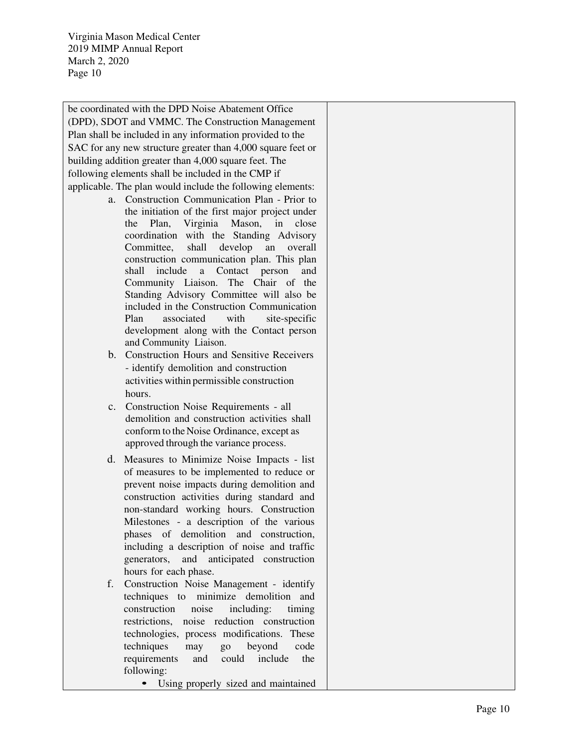be coordinated with the DPD Noise Abatement Office (DPD), SDOT and VMMC. The Construction Management Plan shall be included in any information provided to the SAC for any new structure greater than 4,000 square feet or building addition greater than 4,000 square feet. The following elements shall be included in the CMP if applicable. The plan would include the following elements:

- a. Construction Communication Plan Prior to the initiation of the first major project under the Plan, Virginia Mason, in close coordination with the Standing Advisory Committee, shall develop an overall construction communication plan. This plan shall include a Contact person and Community Liaison. The Chair of the Standing Advisory Committee will also be included in the Construction Communication Plan associated with site-specific development along with the Contact person and Community Liaison.
- b. Construction Hours and Sensitive Receivers - identify demolition and construction activities within permissible construction hours.
- c. Construction Noise Requirements all demolition and construction activities shall conform to the Noise Ordinance, except as approved through the variance process.
- d. Measures to Minimize Noise Impacts list of measures to be implemented to reduce or prevent noise impacts during demolition and construction activities during standard and non-standard working hours. Construction Milestones - a description of the various phases of demolition and construction, including a description of noise and traffic generators, and anticipated construction hours for each phase.
- f. Construction Noise Management identify techniques to minimize demolition and construction noise including: timing restrictions, noise reduction construction technologies, process modifications. These techniques may go beyond code requirements and could include the following: • Using properly sized and maintained
	-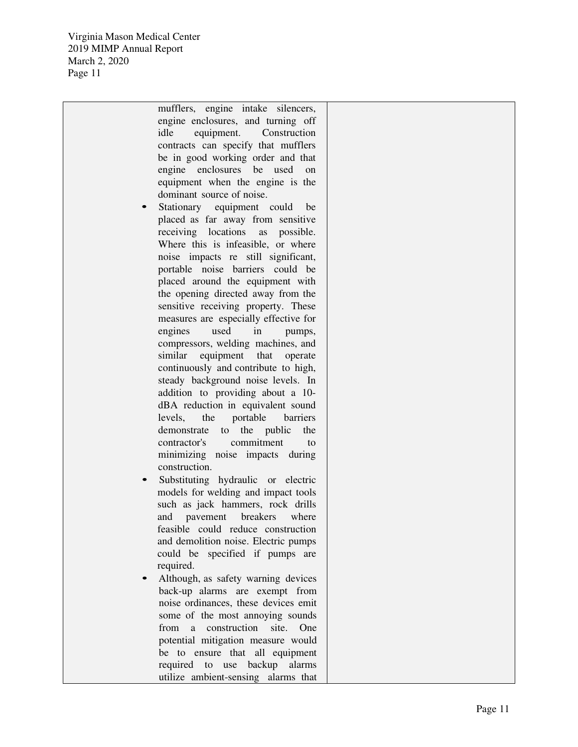| mufflers, engine intake silencers,                                        |  |
|---------------------------------------------------------------------------|--|
| engine enclosures, and turning off                                        |  |
| idle<br>equipment.<br>Construction                                        |  |
| contracts can specify that mufflers                                       |  |
| be in good working order and that                                         |  |
| enclosures<br>engine<br>be<br>used<br><sub>on</sub>                       |  |
| equipment when the engine is the                                          |  |
| dominant source of noise.                                                 |  |
| Stationary equipment could<br>be                                          |  |
| placed as far away from sensitive                                         |  |
| receiving locations<br>as<br>possible.                                    |  |
| Where this is infeasible, or where                                        |  |
| noise impacts re still significant,                                       |  |
| portable noise barriers could be                                          |  |
| placed around the equipment with                                          |  |
|                                                                           |  |
| the opening directed away from the<br>sensitive receiving property. These |  |
|                                                                           |  |
| measures are especially effective for                                     |  |
| engines<br>used<br>in<br>pumps,                                           |  |
| compressors, welding machines, and                                        |  |
| similar<br>equipment that<br>operate                                      |  |
| continuously and contribute to high,                                      |  |
| steady background noise levels. In                                        |  |
| addition to providing about a 10-                                         |  |
| dBA reduction in equivalent sound                                         |  |
| portable<br>levels,<br>the<br>barriers                                    |  |
| demonstrate<br>the public<br>the<br>to                                    |  |
| commitment<br>contractor's<br>to                                          |  |
| minimizing noise impacts during                                           |  |
| construction.                                                             |  |
| Substituting hydraulic or electric                                        |  |
| models for welding and impact tools                                       |  |
| such as jack hammers, rock drills                                         |  |
| and<br>pavement<br>breakers<br>where                                      |  |
| feasible could reduce construction                                        |  |
| and demolition noise. Electric pumps                                      |  |
| could be specified if pumps are                                           |  |
| required.                                                                 |  |
| Although, as safety warning devices                                       |  |
| back-up alarms are exempt from                                            |  |
| noise ordinances, these devices emit                                      |  |
| some of the most annoying sounds                                          |  |
| construction<br>from<br>site.<br>One<br>a                                 |  |
| potential mitigation measure would                                        |  |
| be to ensure that all equipment                                           |  |
| required to use backup alarms                                             |  |
| utilize ambient-sensing alarms that                                       |  |
|                                                                           |  |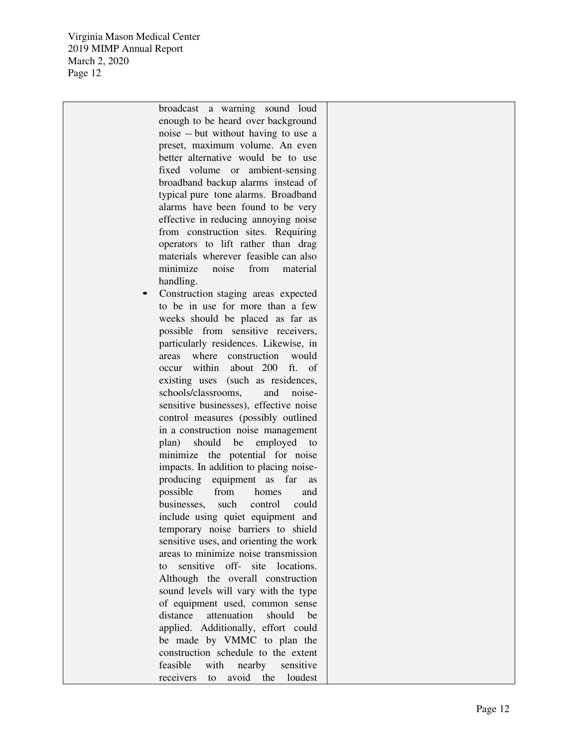> broadcast a warning sound loud enough to be heard over background noise -- but without having to use a preset, maximum volume. An even better alternative would be to use fixed volume or ambient-sensing broadband backup alarms instead of typical pure tone alarms. Broadband alarms have been found to be very effective in reducing annoying noise from construction sites. Requiring operators to lift rather than drag materials wherever feasible can also minimize noise from material handling.

• Construction staging areas expected to be in use for more than a few weeks should be placed as far as possible from sensitive receivers, particularly residences. Likewise, in areas where construction would occur within about 200 ft. of existing uses (such as residences, schools/classrooms, and noisesensitive businesses), effective noise control measures (possibly outlined in a construction noise management plan) should be employed to minimize the potential for noise impacts. In addition to placing noiseproducing equipment as far as possible from homes and businesses, such control could include using quiet equipment and temporary noise barriers to shield sensitive uses, and orienting the work areas to minimize noise transmission to sensitive off- site locations. Although the overall construction sound levels will vary with the type of equipment used, common sense distance attenuation should be applied. Additionally, effort could be made by VMMC to plan the construction schedule to the extent feasible with nearby sensitive receivers to avoid the loudest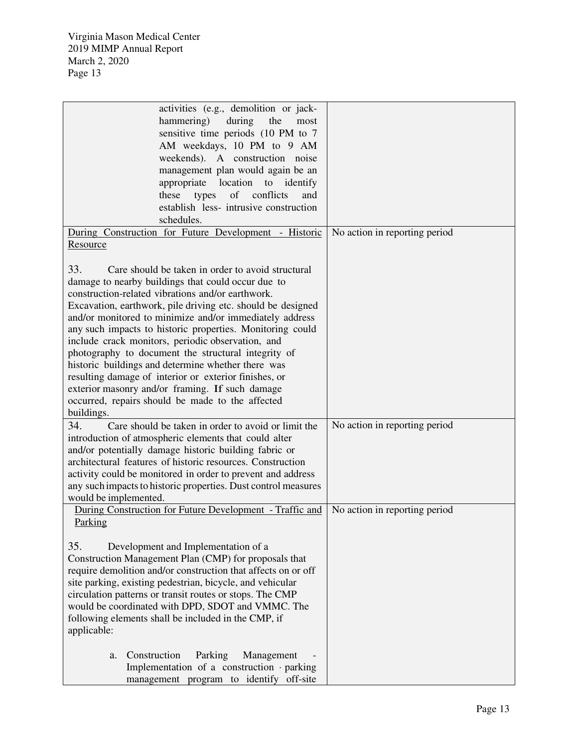| activities (e.g., demolition or jack-<br>the<br>hammering)<br>during<br>most<br>sensitive time periods (10 PM to 7 |
|--------------------------------------------------------------------------------------------------------------------|
|                                                                                                                    |
|                                                                                                                    |
| AM weekdays, 10 PM to 9 AM                                                                                         |
| weekends). A construction noise                                                                                    |
|                                                                                                                    |
| management plan would again be an                                                                                  |
| appropriate<br>location<br>to identify                                                                             |
| conflicts<br>of<br>these<br>types<br>and                                                                           |
| establish less- intrusive construction                                                                             |
| schedules.                                                                                                         |
| During Construction for Future Development - Historic<br>No action in reporting period                             |
| Resource                                                                                                           |
|                                                                                                                    |
| 33.<br>Care should be taken in order to avoid structural                                                           |
| damage to nearby buildings that could occur due to                                                                 |
| construction-related vibrations and/or earthwork.                                                                  |
| Excavation, earthwork, pile driving etc. should be designed                                                        |
| and/or monitored to minimize and/or immediately address                                                            |
| any such impacts to historic properties. Monitoring could                                                          |
|                                                                                                                    |
| include crack monitors, periodic observation, and                                                                  |
| photography to document the structural integrity of                                                                |
| historic buildings and determine whether there was                                                                 |
| resulting damage of interior or exterior finishes, or                                                              |
| exterior masonry and/or framing. If such damage                                                                    |
| occurred, repairs should be made to the affected                                                                   |
| buildings.                                                                                                         |
| No action in reporting period<br>Care should be taken in order to avoid or limit the<br>34.                        |
| introduction of atmospheric elements that could alter                                                              |
| and/or potentially damage historic building fabric or                                                              |
| architectural features of historic resources. Construction                                                         |
| activity could be monitored in order to prevent and address                                                        |
| any such impacts to historic properties. Dust control measures                                                     |
| would be implemented.                                                                                              |
|                                                                                                                    |
|                                                                                                                    |
| During Construction for Future Development - Traffic and<br>No action in reporting period                          |
| Parking                                                                                                            |
|                                                                                                                    |
| 35.<br>Development and Implementation of a                                                                         |
| Construction Management Plan (CMP) for proposals that                                                              |
| require demolition and/or construction that affects on or off                                                      |
| site parking, existing pedestrian, bicycle, and vehicular                                                          |
| circulation patterns or transit routes or stops. The CMP                                                           |
| would be coordinated with DPD, SDOT and VMMC. The                                                                  |
| following elements shall be included in the CMP, if                                                                |
| applicable:                                                                                                        |
|                                                                                                                    |
|                                                                                                                    |
| Construction<br>Parking<br>Management<br>a.<br>Implementation of a construction · parking                          |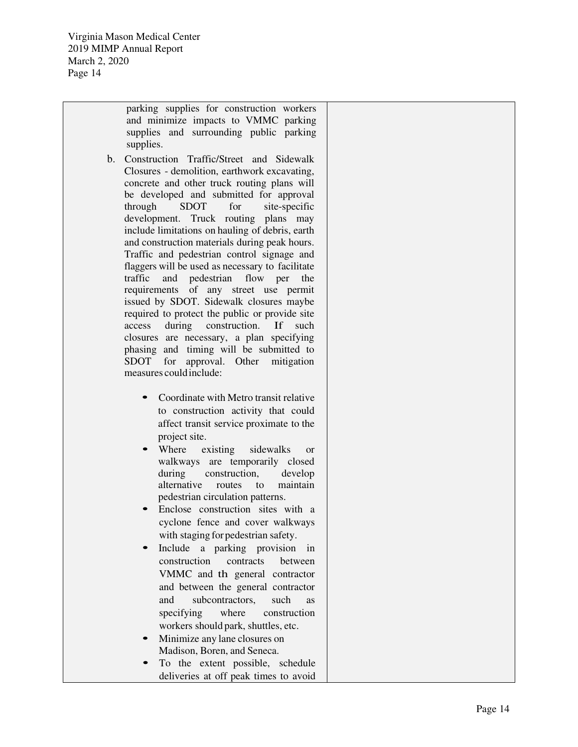parking supplies for construction workers and minimize impacts to VMMC parking supplies and surrounding public parking supplies.

- b. Construction Traffic/Street and Sidewalk Closures - demolition, earthwork excavating, concrete and other truck routing plans will be developed and submitted for approval through SDOT for site-specific development. Truck routing plans may include limitations on hauling of debris, earth and construction materials during peak hours. Traffic and pedestrian control signage and flaggers will be used as necessary to facilitate traffic and pedestrian flow per the requirements of any street use permit issued by SDOT. Sidewalk closures maybe required to protect the public or provide site access during construction. If such closures are necessary, a plan specifying phasing and timing will be submitted to SDOT for approval. Other mitigation measures could include:
	- Coordinate with Metro transit relative to construction activity that could affect transit service proximate to the project site.
	- Where existing sidewalks or walkways are temporarily closed during construction, develop alternative routes to maintain pedestrian circulation patterns.
	- Enclose construction sites with a cyclone fence and cover walkways with staging for pedestrian safety.
	- Include a parking provision in construction contracts between VMMC and th general contractor and between the general contractor and subcontractors, such as specifying where construction workers should park, shuttles, etc.
	- Minimize any lane closures on Madison, Boren, and Seneca.
	- To the extent possible, schedule deliveries at off peak times to avoid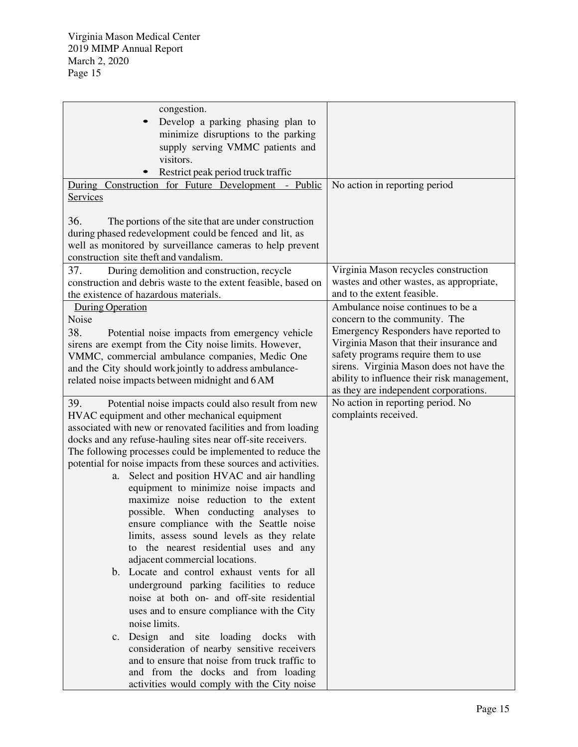| congestion.                                                    |                                             |
|----------------------------------------------------------------|---------------------------------------------|
| Develop a parking phasing plan to<br>$\bullet$                 |                                             |
| minimize disruptions to the parking                            |                                             |
| supply serving VMMC patients and                               |                                             |
| visitors.                                                      |                                             |
| Restrict peak period truck traffic                             |                                             |
| During Construction for Future Development - Public            | No action in reporting period               |
| Services                                                       |                                             |
|                                                                |                                             |
| 36.<br>The portions of the site that are under construction    |                                             |
| during phased redevelopment could be fenced and lit, as        |                                             |
| well as monitored by surveillance cameras to help prevent      |                                             |
| construction site theft and vandalism.                         |                                             |
| 37.<br>During demolition and construction, recycle             | Virginia Mason recycles construction        |
| construction and debris waste to the extent feasible, based on | wastes and other wastes, as appropriate,    |
| the existence of hazardous materials.                          | and to the extent feasible.                 |
| <b>During Operation</b>                                        | Ambulance noise continues to be a           |
| Noise                                                          | concern to the community. The               |
| 38.                                                            | Emergency Responders have reported to       |
| Potential noise impacts from emergency vehicle                 | Virginia Mason that their insurance and     |
| sirens are exempt from the City noise limits. However,         | safety programs require them to use         |
| VMMC, commercial ambulance companies, Medic One                | sirens. Virginia Mason does not have the    |
| and the City should work jointly to address ambulance-         | ability to influence their risk management, |
| related noise impacts between midnight and 6 AM                | as they are independent corporations.       |
|                                                                | No action in reporting period. No           |
| 39.<br>Potential noise impacts could also result from new      | complaints received.                        |
| HVAC equipment and other mechanical equipment                  |                                             |
| associated with new or renovated facilities and from loading   |                                             |
| docks and any refuse-hauling sites near off-site receivers.    |                                             |
| The following processes could be implemented to reduce the     |                                             |
| potential for noise impacts from these sources and activities. |                                             |
| Select and position HVAC and air handling<br>a.                |                                             |
| equipment to minimize noise impacts and                        |                                             |
| maximize noise reduction to the extent                         |                                             |
| possible. When conducting analyses to                          |                                             |
| ensure compliance with the Seattle noise                       |                                             |
| limits, assess sound levels as they relate                     |                                             |
| to the nearest residential uses and any                        |                                             |
| adjacent commercial locations.                                 |                                             |
| b. Locate and control exhaust vents for all                    |                                             |
| underground parking facilities to reduce                       |                                             |
| noise at both on- and off-site residential                     |                                             |
| uses and to ensure compliance with the City                    |                                             |
| noise limits.                                                  |                                             |
| Design and site loading docks with<br>$c_{\cdot}$              |                                             |
| consideration of nearby sensitive receivers                    |                                             |
| and to ensure that noise from truck traffic to                 |                                             |
| and from the docks and from loading                            |                                             |
| activities would comply with the City noise                    |                                             |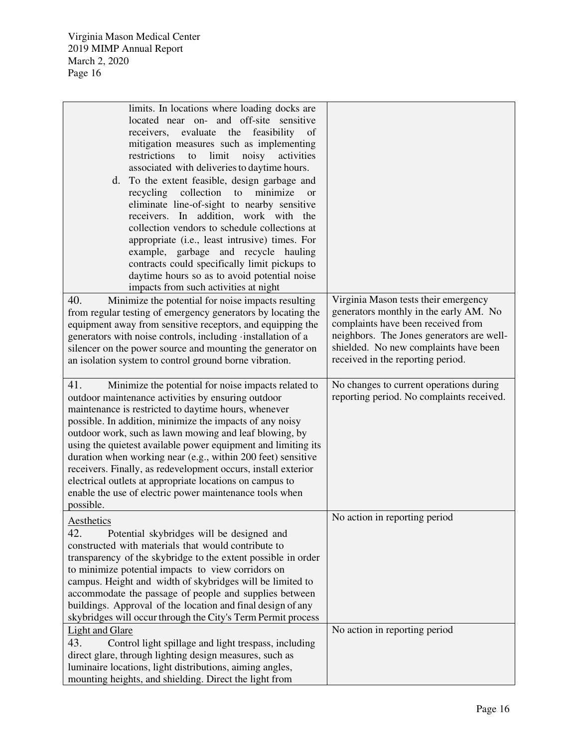| limits. In locations where loading docks are<br>located near on- and off-site sensitive<br>receivers, evaluate the feasibility<br>of<br>mitigation measures such as implementing<br>to<br>limit<br>noisy<br>restrictions<br>activities<br>associated with deliveries to daytime hours.<br>d. To the extent feasible, design garbage and<br>collection<br>minimize<br>recycling<br>to<br><sub>or</sub><br>eliminate line-of-sight to nearby sensitive<br>receivers. In addition, work with the<br>collection vendors to schedule collections at<br>appropriate (i.e., least intrusive) times. For<br>example, garbage and recycle hauling<br>contracts could specifically limit pickups to<br>daytime hours so as to avoid potential noise<br>impacts from such activities at night |                                                                                                                                                                                                                                                 |
|------------------------------------------------------------------------------------------------------------------------------------------------------------------------------------------------------------------------------------------------------------------------------------------------------------------------------------------------------------------------------------------------------------------------------------------------------------------------------------------------------------------------------------------------------------------------------------------------------------------------------------------------------------------------------------------------------------------------------------------------------------------------------------|-------------------------------------------------------------------------------------------------------------------------------------------------------------------------------------------------------------------------------------------------|
| 40.<br>Minimize the potential for noise impacts resulting<br>from regular testing of emergency generators by locating the<br>equipment away from sensitive receptors, and equipping the<br>generators with noise controls, including installation of a<br>silencer on the power source and mounting the generator on<br>an isolation system to control ground borne vibration.                                                                                                                                                                                                                                                                                                                                                                                                     | Virginia Mason tests their emergency<br>generators monthly in the early AM. No<br>complaints have been received from<br>neighbors. The Jones generators are well-<br>shielded. No new complaints have been<br>received in the reporting period. |
| 41.<br>Minimize the potential for noise impacts related to<br>outdoor maintenance activities by ensuring outdoor<br>maintenance is restricted to daytime hours, whenever<br>possible. In addition, minimize the impacts of any noisy<br>outdoor work, such as lawn mowing and leaf blowing, by<br>using the quietest available power equipment and limiting its<br>duration when working near (e.g., within 200 feet) sensitive<br>receivers. Finally, as redevelopment occurs, install exterior<br>electrical outlets at appropriate locations on campus to<br>enable the use of electric power maintenance tools when<br>possible.                                                                                                                                               | No changes to current operations during<br>reporting period. No complaints received.                                                                                                                                                            |
| Aesthetics<br>42.<br>Potential skybridges will be designed and<br>constructed with materials that would contribute to<br>transparency of the skybridge to the extent possible in order<br>to minimize potential impacts to view corridors on<br>campus. Height and width of skybridges will be limited to<br>accommodate the passage of people and supplies between<br>buildings. Approval of the location and final design of any<br>skybridges will occur through the City's Term Permit process                                                                                                                                                                                                                                                                                 | No action in reporting period                                                                                                                                                                                                                   |
| Light and Glare<br>43.<br>Control light spillage and light trespass, including<br>direct glare, through lighting design measures, such as<br>luminaire locations, light distributions, aiming angles,<br>mounting heights, and shielding. Direct the light from                                                                                                                                                                                                                                                                                                                                                                                                                                                                                                                    | No action in reporting period                                                                                                                                                                                                                   |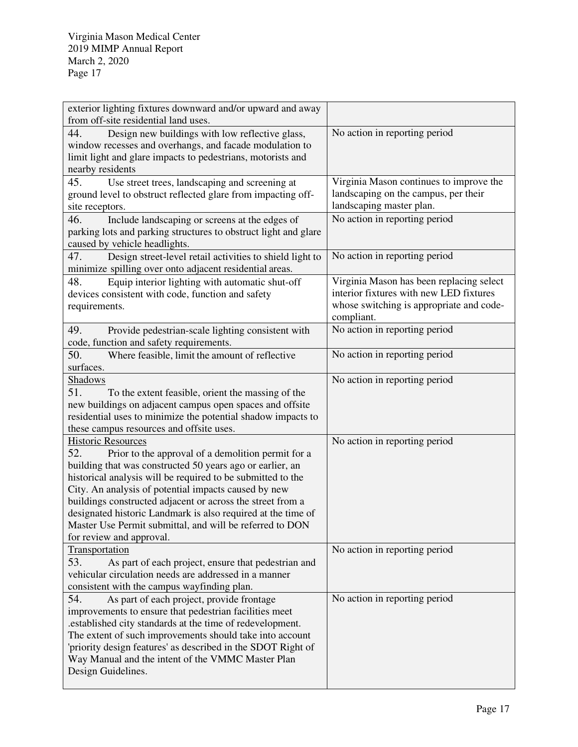| exterior lighting fixtures downward and/or upward and away<br>from off-site residential land uses.                                                                                                                                                                                                                                                                                                                                                                                               |                                                                                                                                               |
|--------------------------------------------------------------------------------------------------------------------------------------------------------------------------------------------------------------------------------------------------------------------------------------------------------------------------------------------------------------------------------------------------------------------------------------------------------------------------------------------------|-----------------------------------------------------------------------------------------------------------------------------------------------|
| 44.<br>Design new buildings with low reflective glass,<br>window recesses and overhangs, and facade modulation to<br>limit light and glare impacts to pedestrians, motorists and<br>nearby residents                                                                                                                                                                                                                                                                                             | No action in reporting period                                                                                                                 |
| 45.<br>Use street trees, landscaping and screening at<br>ground level to obstruct reflected glare from impacting off-<br>site receptors.                                                                                                                                                                                                                                                                                                                                                         | Virginia Mason continues to improve the<br>landscaping on the campus, per their<br>landscaping master plan.                                   |
| 46.<br>Include landscaping or screens at the edges of<br>parking lots and parking structures to obstruct light and glare<br>caused by vehicle headlights.                                                                                                                                                                                                                                                                                                                                        | No action in reporting period                                                                                                                 |
| 47.<br>Design street-level retail activities to shield light to<br>minimize spilling over onto adjacent residential areas.                                                                                                                                                                                                                                                                                                                                                                       | No action in reporting period                                                                                                                 |
| Equip interior lighting with automatic shut-off<br>48.<br>devices consistent with code, function and safety<br>requirements.                                                                                                                                                                                                                                                                                                                                                                     | Virginia Mason has been replacing select<br>interior fixtures with new LED fixtures<br>whose switching is appropriate and code-<br>compliant. |
| 49.<br>Provide pedestrian-scale lighting consistent with<br>code, function and safety requirements.                                                                                                                                                                                                                                                                                                                                                                                              | No action in reporting period                                                                                                                 |
| 50.<br>Where feasible, limit the amount of reflective<br>surfaces.                                                                                                                                                                                                                                                                                                                                                                                                                               | No action in reporting period                                                                                                                 |
| <b>Shadows</b><br>51.<br>To the extent feasible, orient the massing of the<br>new buildings on adjacent campus open spaces and offsite<br>residential uses to minimize the potential shadow impacts to<br>these campus resources and offsite uses.                                                                                                                                                                                                                                               | No action in reporting period                                                                                                                 |
| <b>Historic Resources</b><br>52.<br>Prior to the approval of a demolition permit for a<br>building that was constructed 50 years ago or earlier, an<br>historical analysis will be required to be submitted to the<br>City. An analysis of potential impacts caused by new<br>buildings constructed adjacent or across the street from a<br>designated historic Landmark is also required at the time of<br>Master Use Permit submittal, and will be referred to DON<br>for review and approval. | No action in reporting period                                                                                                                 |
| Transportation<br>53.<br>As part of each project, ensure that pedestrian and<br>vehicular circulation needs are addressed in a manner<br>consistent with the campus wayfinding plan.                                                                                                                                                                                                                                                                                                             | No action in reporting period                                                                                                                 |
| 54.<br>As part of each project, provide frontage<br>improvements to ensure that pedestrian facilities meet<br>.established city standards at the time of redevelopment.<br>The extent of such improvements should take into account<br>'priority design features' as described in the SDOT Right of<br>Way Manual and the intent of the VMMC Master Plan<br>Design Guidelines.                                                                                                                   | No action in reporting period                                                                                                                 |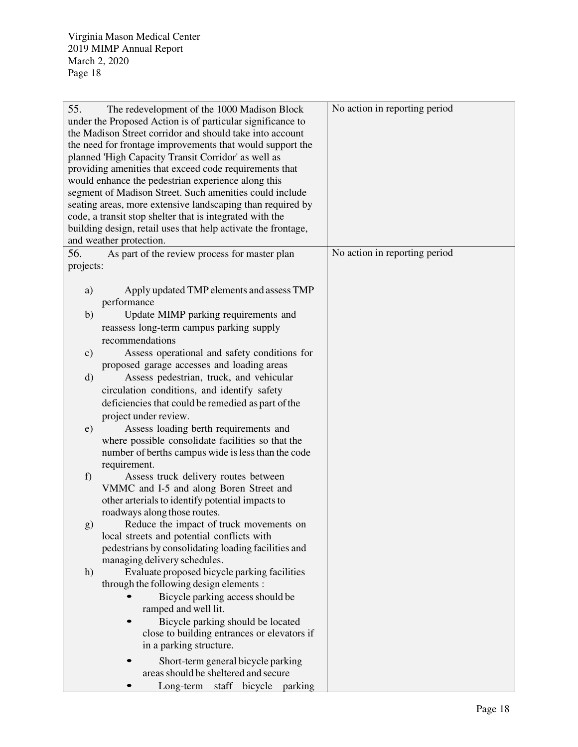| No action in reporting period<br>55.<br>The redevelopment of the 1000 Madison Block<br>under the Proposed Action is of particular significance to<br>the Madison Street corridor and should take into account<br>the need for frontage improvements that would support the<br>planned 'High Capacity Transit Corridor' as well as<br>providing amenities that exceed code requirements that<br>would enhance the pedestrian experience along this<br>segment of Madison Street. Such amenities could include<br>seating areas, more extensive landscaping than required by<br>code, a transit stop shelter that is integrated with the<br>building design, retail uses that help activate the frontage,<br>and weather protection.<br>No action in reporting period<br>56.<br>As part of the review process for master plan<br>projects:<br>Apply updated TMP elements and assess TMP<br>a)<br>performance<br>Update MIMP parking requirements and<br>b)<br>reassess long-term campus parking supply<br>recommendations<br>Assess operational and safety conditions for<br>$\mathbf{c})$<br>proposed garage accesses and loading areas<br>Assess pedestrian, truck, and vehicular<br>$\rm d)$<br>circulation conditions, and identify safety<br>deficiencies that could be remedied as part of the<br>project under review.<br>Assess loading berth requirements and<br>e)<br>where possible consolidate facilities so that the<br>number of berths campus wide is less than the code<br>requirement.<br>Assess truck delivery routes between<br>f)<br>VMMC and I-5 and along Boren Street and |  |  |
|------------------------------------------------------------------------------------------------------------------------------------------------------------------------------------------------------------------------------------------------------------------------------------------------------------------------------------------------------------------------------------------------------------------------------------------------------------------------------------------------------------------------------------------------------------------------------------------------------------------------------------------------------------------------------------------------------------------------------------------------------------------------------------------------------------------------------------------------------------------------------------------------------------------------------------------------------------------------------------------------------------------------------------------------------------------------------------------------------------------------------------------------------------------------------------------------------------------------------------------------------------------------------------------------------------------------------------------------------------------------------------------------------------------------------------------------------------------------------------------------------------------------------------------------------------------------------------------------|--|--|
|                                                                                                                                                                                                                                                                                                                                                                                                                                                                                                                                                                                                                                                                                                                                                                                                                                                                                                                                                                                                                                                                                                                                                                                                                                                                                                                                                                                                                                                                                                                                                                                                |  |  |
|                                                                                                                                                                                                                                                                                                                                                                                                                                                                                                                                                                                                                                                                                                                                                                                                                                                                                                                                                                                                                                                                                                                                                                                                                                                                                                                                                                                                                                                                                                                                                                                                |  |  |
|                                                                                                                                                                                                                                                                                                                                                                                                                                                                                                                                                                                                                                                                                                                                                                                                                                                                                                                                                                                                                                                                                                                                                                                                                                                                                                                                                                                                                                                                                                                                                                                                |  |  |
|                                                                                                                                                                                                                                                                                                                                                                                                                                                                                                                                                                                                                                                                                                                                                                                                                                                                                                                                                                                                                                                                                                                                                                                                                                                                                                                                                                                                                                                                                                                                                                                                |  |  |
|                                                                                                                                                                                                                                                                                                                                                                                                                                                                                                                                                                                                                                                                                                                                                                                                                                                                                                                                                                                                                                                                                                                                                                                                                                                                                                                                                                                                                                                                                                                                                                                                |  |  |
|                                                                                                                                                                                                                                                                                                                                                                                                                                                                                                                                                                                                                                                                                                                                                                                                                                                                                                                                                                                                                                                                                                                                                                                                                                                                                                                                                                                                                                                                                                                                                                                                |  |  |
|                                                                                                                                                                                                                                                                                                                                                                                                                                                                                                                                                                                                                                                                                                                                                                                                                                                                                                                                                                                                                                                                                                                                                                                                                                                                                                                                                                                                                                                                                                                                                                                                |  |  |
|                                                                                                                                                                                                                                                                                                                                                                                                                                                                                                                                                                                                                                                                                                                                                                                                                                                                                                                                                                                                                                                                                                                                                                                                                                                                                                                                                                                                                                                                                                                                                                                                |  |  |
|                                                                                                                                                                                                                                                                                                                                                                                                                                                                                                                                                                                                                                                                                                                                                                                                                                                                                                                                                                                                                                                                                                                                                                                                                                                                                                                                                                                                                                                                                                                                                                                                |  |  |
|                                                                                                                                                                                                                                                                                                                                                                                                                                                                                                                                                                                                                                                                                                                                                                                                                                                                                                                                                                                                                                                                                                                                                                                                                                                                                                                                                                                                                                                                                                                                                                                                |  |  |
|                                                                                                                                                                                                                                                                                                                                                                                                                                                                                                                                                                                                                                                                                                                                                                                                                                                                                                                                                                                                                                                                                                                                                                                                                                                                                                                                                                                                                                                                                                                                                                                                |  |  |
|                                                                                                                                                                                                                                                                                                                                                                                                                                                                                                                                                                                                                                                                                                                                                                                                                                                                                                                                                                                                                                                                                                                                                                                                                                                                                                                                                                                                                                                                                                                                                                                                |  |  |
|                                                                                                                                                                                                                                                                                                                                                                                                                                                                                                                                                                                                                                                                                                                                                                                                                                                                                                                                                                                                                                                                                                                                                                                                                                                                                                                                                                                                                                                                                                                                                                                                |  |  |
|                                                                                                                                                                                                                                                                                                                                                                                                                                                                                                                                                                                                                                                                                                                                                                                                                                                                                                                                                                                                                                                                                                                                                                                                                                                                                                                                                                                                                                                                                                                                                                                                |  |  |
|                                                                                                                                                                                                                                                                                                                                                                                                                                                                                                                                                                                                                                                                                                                                                                                                                                                                                                                                                                                                                                                                                                                                                                                                                                                                                                                                                                                                                                                                                                                                                                                                |  |  |
|                                                                                                                                                                                                                                                                                                                                                                                                                                                                                                                                                                                                                                                                                                                                                                                                                                                                                                                                                                                                                                                                                                                                                                                                                                                                                                                                                                                                                                                                                                                                                                                                |  |  |
|                                                                                                                                                                                                                                                                                                                                                                                                                                                                                                                                                                                                                                                                                                                                                                                                                                                                                                                                                                                                                                                                                                                                                                                                                                                                                                                                                                                                                                                                                                                                                                                                |  |  |
|                                                                                                                                                                                                                                                                                                                                                                                                                                                                                                                                                                                                                                                                                                                                                                                                                                                                                                                                                                                                                                                                                                                                                                                                                                                                                                                                                                                                                                                                                                                                                                                                |  |  |
|                                                                                                                                                                                                                                                                                                                                                                                                                                                                                                                                                                                                                                                                                                                                                                                                                                                                                                                                                                                                                                                                                                                                                                                                                                                                                                                                                                                                                                                                                                                                                                                                |  |  |
|                                                                                                                                                                                                                                                                                                                                                                                                                                                                                                                                                                                                                                                                                                                                                                                                                                                                                                                                                                                                                                                                                                                                                                                                                                                                                                                                                                                                                                                                                                                                                                                                |  |  |
|                                                                                                                                                                                                                                                                                                                                                                                                                                                                                                                                                                                                                                                                                                                                                                                                                                                                                                                                                                                                                                                                                                                                                                                                                                                                                                                                                                                                                                                                                                                                                                                                |  |  |
|                                                                                                                                                                                                                                                                                                                                                                                                                                                                                                                                                                                                                                                                                                                                                                                                                                                                                                                                                                                                                                                                                                                                                                                                                                                                                                                                                                                                                                                                                                                                                                                                |  |  |
|                                                                                                                                                                                                                                                                                                                                                                                                                                                                                                                                                                                                                                                                                                                                                                                                                                                                                                                                                                                                                                                                                                                                                                                                                                                                                                                                                                                                                                                                                                                                                                                                |  |  |
|                                                                                                                                                                                                                                                                                                                                                                                                                                                                                                                                                                                                                                                                                                                                                                                                                                                                                                                                                                                                                                                                                                                                                                                                                                                                                                                                                                                                                                                                                                                                                                                                |  |  |
|                                                                                                                                                                                                                                                                                                                                                                                                                                                                                                                                                                                                                                                                                                                                                                                                                                                                                                                                                                                                                                                                                                                                                                                                                                                                                                                                                                                                                                                                                                                                                                                                |  |  |
|                                                                                                                                                                                                                                                                                                                                                                                                                                                                                                                                                                                                                                                                                                                                                                                                                                                                                                                                                                                                                                                                                                                                                                                                                                                                                                                                                                                                                                                                                                                                                                                                |  |  |
|                                                                                                                                                                                                                                                                                                                                                                                                                                                                                                                                                                                                                                                                                                                                                                                                                                                                                                                                                                                                                                                                                                                                                                                                                                                                                                                                                                                                                                                                                                                                                                                                |  |  |
|                                                                                                                                                                                                                                                                                                                                                                                                                                                                                                                                                                                                                                                                                                                                                                                                                                                                                                                                                                                                                                                                                                                                                                                                                                                                                                                                                                                                                                                                                                                                                                                                |  |  |
|                                                                                                                                                                                                                                                                                                                                                                                                                                                                                                                                                                                                                                                                                                                                                                                                                                                                                                                                                                                                                                                                                                                                                                                                                                                                                                                                                                                                                                                                                                                                                                                                |  |  |
|                                                                                                                                                                                                                                                                                                                                                                                                                                                                                                                                                                                                                                                                                                                                                                                                                                                                                                                                                                                                                                                                                                                                                                                                                                                                                                                                                                                                                                                                                                                                                                                                |  |  |
|                                                                                                                                                                                                                                                                                                                                                                                                                                                                                                                                                                                                                                                                                                                                                                                                                                                                                                                                                                                                                                                                                                                                                                                                                                                                                                                                                                                                                                                                                                                                                                                                |  |  |
| other arterials to identify potential impacts to                                                                                                                                                                                                                                                                                                                                                                                                                                                                                                                                                                                                                                                                                                                                                                                                                                                                                                                                                                                                                                                                                                                                                                                                                                                                                                                                                                                                                                                                                                                                               |  |  |
| roadways along those routes.                                                                                                                                                                                                                                                                                                                                                                                                                                                                                                                                                                                                                                                                                                                                                                                                                                                                                                                                                                                                                                                                                                                                                                                                                                                                                                                                                                                                                                                                                                                                                                   |  |  |
| Reduce the impact of truck movements on<br>$\mathbf{g}$                                                                                                                                                                                                                                                                                                                                                                                                                                                                                                                                                                                                                                                                                                                                                                                                                                                                                                                                                                                                                                                                                                                                                                                                                                                                                                                                                                                                                                                                                                                                        |  |  |
| local streets and potential conflicts with                                                                                                                                                                                                                                                                                                                                                                                                                                                                                                                                                                                                                                                                                                                                                                                                                                                                                                                                                                                                                                                                                                                                                                                                                                                                                                                                                                                                                                                                                                                                                     |  |  |
| pedestrians by consolidating loading facilities and                                                                                                                                                                                                                                                                                                                                                                                                                                                                                                                                                                                                                                                                                                                                                                                                                                                                                                                                                                                                                                                                                                                                                                                                                                                                                                                                                                                                                                                                                                                                            |  |  |
| managing delivery schedules.                                                                                                                                                                                                                                                                                                                                                                                                                                                                                                                                                                                                                                                                                                                                                                                                                                                                                                                                                                                                                                                                                                                                                                                                                                                                                                                                                                                                                                                                                                                                                                   |  |  |
| Evaluate proposed bicycle parking facilities<br>h)                                                                                                                                                                                                                                                                                                                                                                                                                                                                                                                                                                                                                                                                                                                                                                                                                                                                                                                                                                                                                                                                                                                                                                                                                                                                                                                                                                                                                                                                                                                                             |  |  |
| through the following design elements :                                                                                                                                                                                                                                                                                                                                                                                                                                                                                                                                                                                                                                                                                                                                                                                                                                                                                                                                                                                                                                                                                                                                                                                                                                                                                                                                                                                                                                                                                                                                                        |  |  |
| Bicycle parking access should be                                                                                                                                                                                                                                                                                                                                                                                                                                                                                                                                                                                                                                                                                                                                                                                                                                                                                                                                                                                                                                                                                                                                                                                                                                                                                                                                                                                                                                                                                                                                                               |  |  |
| ramped and well lit.                                                                                                                                                                                                                                                                                                                                                                                                                                                                                                                                                                                                                                                                                                                                                                                                                                                                                                                                                                                                                                                                                                                                                                                                                                                                                                                                                                                                                                                                                                                                                                           |  |  |
| Bicycle parking should be located                                                                                                                                                                                                                                                                                                                                                                                                                                                                                                                                                                                                                                                                                                                                                                                                                                                                                                                                                                                                                                                                                                                                                                                                                                                                                                                                                                                                                                                                                                                                                              |  |  |
| close to building entrances or elevators if                                                                                                                                                                                                                                                                                                                                                                                                                                                                                                                                                                                                                                                                                                                                                                                                                                                                                                                                                                                                                                                                                                                                                                                                                                                                                                                                                                                                                                                                                                                                                    |  |  |
| in a parking structure.                                                                                                                                                                                                                                                                                                                                                                                                                                                                                                                                                                                                                                                                                                                                                                                                                                                                                                                                                                                                                                                                                                                                                                                                                                                                                                                                                                                                                                                                                                                                                                        |  |  |
| Short-term general bicycle parking                                                                                                                                                                                                                                                                                                                                                                                                                                                                                                                                                                                                                                                                                                                                                                                                                                                                                                                                                                                                                                                                                                                                                                                                                                                                                                                                                                                                                                                                                                                                                             |  |  |
| areas should be sheltered and secure                                                                                                                                                                                                                                                                                                                                                                                                                                                                                                                                                                                                                                                                                                                                                                                                                                                                                                                                                                                                                                                                                                                                                                                                                                                                                                                                                                                                                                                                                                                                                           |  |  |
| staff bicycle parking<br>Long-term                                                                                                                                                                                                                                                                                                                                                                                                                                                                                                                                                                                                                                                                                                                                                                                                                                                                                                                                                                                                                                                                                                                                                                                                                                                                                                                                                                                                                                                                                                                                                             |  |  |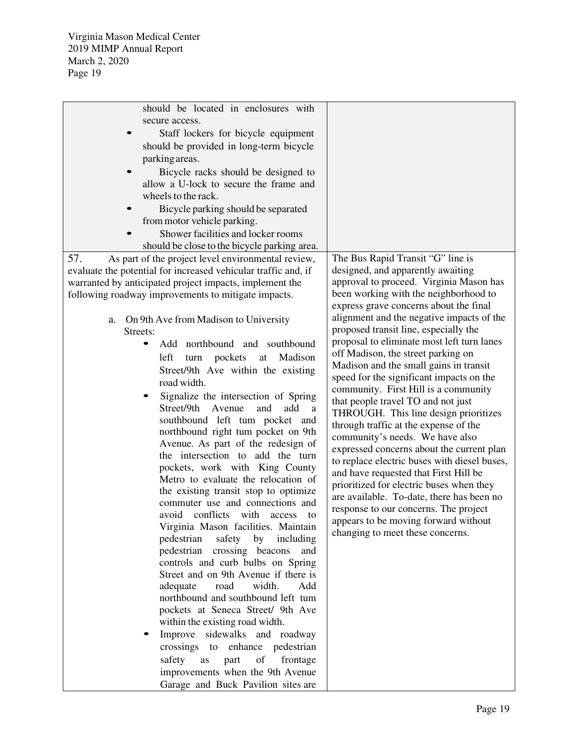| should be located in enclosures with                           |                                              |
|----------------------------------------------------------------|----------------------------------------------|
| secure access.                                                 |                                              |
| Staff lockers for bicycle equipment                            |                                              |
| should be provided in long-term bicycle                        |                                              |
| parking areas.                                                 |                                              |
| Bicycle racks should be designed to                            |                                              |
| allow a U-lock to secure the frame and                         |                                              |
| wheels to the rack.                                            |                                              |
| Bicycle parking should be separated                            |                                              |
| from motor vehicle parking.                                    |                                              |
| Shower facilities and locker rooms                             |                                              |
|                                                                |                                              |
| should be close to the bicycle parking area.                   |                                              |
| 57.<br>As part of the project level environmental review,      | The Bus Rapid Transit "G" line is            |
| evaluate the potential for increased vehicular traffic and, if | designed, and apparently awaiting            |
| warranted by anticipated project impacts, implement the        | approval to proceed. Virginia Mason has      |
| following roadway improvements to mitigate impacts.            | been working with the neighborhood to        |
|                                                                | express grave concerns about the final       |
| On 9th Ave from Madison to University<br>a.                    | alignment and the negative impacts of the    |
| Streets:                                                       | proposed transit line, especially the        |
| Add northbound and southbound                                  | proposal to eliminate most left turn lanes   |
| Madison<br>left<br>pockets<br>turn<br>at                       | off Madison, the street parking on           |
| Street/9th Ave within the existing                             | Madison and the small gains in transit       |
| road width.                                                    | speed for the significant impacts on the     |
| Signalize the intersection of Spring                           | community. First Hill is a community         |
| Street/9th<br>add<br>Avenue<br>and<br>a                        | that people travel TO and not just           |
| southbound left tum pocket and                                 | THROUGH. This line design prioritizes        |
| northbound right tum pocket on 9th                             | through traffic at the expense of the        |
| Avenue. As part of the redesign of                             | community's needs. We have also              |
| the intersection to add the turn                               | expressed concerns about the current plan    |
| pockets, work with King County                                 | to replace electric buses with diesel buses, |
| Metro to evaluate the relocation of                            | and have requested that First Hill be        |
| the existing transit stop to optimize                          | prioritized for electric buses when they     |
| commuter use and connections and                               | are available. To-date, there has been no    |
| avoid conflicts with<br>access<br>to                           | response to our concerns. The project        |
| Virginia Mason facilities. Maintain                            | appears to be moving forward without         |
| pedestrian<br>safety by<br>including                           | changing to meet these concerns.             |
| pedestrian crossing beacons<br>and                             |                                              |
| controls and curb bulbs on Spring                              |                                              |
| Street and on 9th Avenue if there is                           |                                              |
| adequate<br>road<br>width.<br>Add                              |                                              |
| northbound and southbound left tum                             |                                              |
| pockets at Seneca Street/ 9th Ave                              |                                              |
|                                                                |                                              |
| within the existing road width.                                |                                              |
| Improve sidewalks and roadway                                  |                                              |
| crossings to enhance pedestrian                                |                                              |
| part<br>of frontage<br>safety<br>as                            |                                              |
| improvements when the 9th Avenue                               |                                              |
| Garage and Buck Pavilion sites are                             |                                              |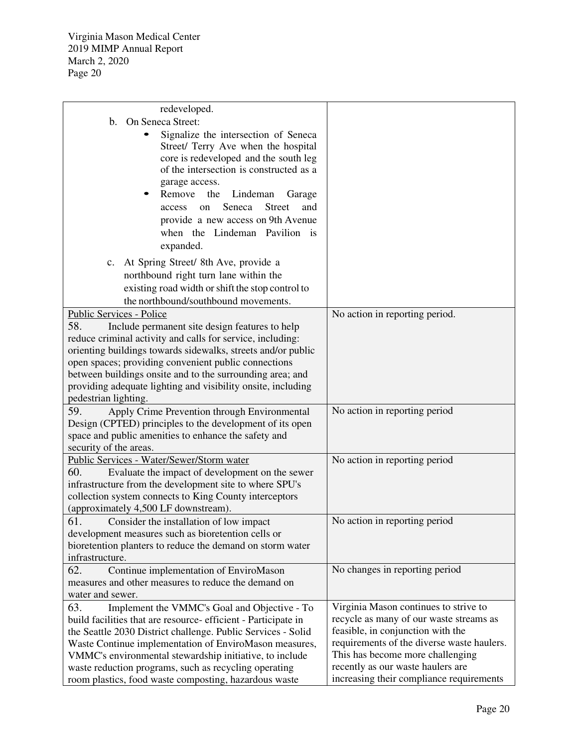| redeveloped.                                                  |                                            |
|---------------------------------------------------------------|--------------------------------------------|
| On Seneca Street:<br>$\mathbf b$ .                            |                                            |
| Signalize the intersection of Seneca                          |                                            |
| Street/ Terry Ave when the hospital                           |                                            |
| core is redeveloped and the south leg                         |                                            |
| of the intersection is constructed as a                       |                                            |
| garage access.                                                |                                            |
| Remove<br>the Lindeman<br>Garage                              |                                            |
| <b>Street</b><br>Seneca<br>and<br>access<br>on                |                                            |
| provide a new access on 9th Avenue                            |                                            |
| when the Lindeman Pavilion is                                 |                                            |
|                                                               |                                            |
| expanded.                                                     |                                            |
| c. At Spring Street/ 8th Ave, provide a                       |                                            |
| northbound right turn lane within the                         |                                            |
| existing road width or shift the stop control to              |                                            |
| the northbound/southbound movements.                          |                                            |
| Public Services - Police                                      | No action in reporting period.             |
| 58.<br>Include permanent site design features to help         |                                            |
| reduce criminal activity and calls for service, including:    |                                            |
| orienting buildings towards sidewalks, streets and/or public  |                                            |
| open spaces; providing convenient public connections          |                                            |
| between buildings onsite and to the surrounding area; and     |                                            |
| providing adequate lighting and visibility onsite, including  |                                            |
| pedestrian lighting.                                          |                                            |
| 59.<br>Apply Crime Prevention through Environmental           | No action in reporting period              |
| Design (CPTED) principles to the development of its open      |                                            |
| space and public amenities to enhance the safety and          |                                            |
| security of the areas.                                        |                                            |
| Public Services - Water/Sewer/Storm water                     | No action in reporting period              |
| 60.<br>Evaluate the impact of development on the sewer        |                                            |
| infrastructure from the development site to where SPU's       |                                            |
| collection system connects to King County interceptors        |                                            |
| (approximately 4,500 LF downstream).                          |                                            |
| 61.<br>Consider the installation of low impact                | No action in reporting period              |
| development measures such as bioretention cells or            |                                            |
| bioretention planters to reduce the demand on storm water     |                                            |
| infrastructure.                                               |                                            |
| 62.<br>Continue implementation of EnviroMason                 | No changes in reporting period             |
| measures and other measures to reduce the demand on           |                                            |
| water and sewer.                                              |                                            |
| 63.<br>Implement the VMMC's Goal and Objective - To           | Virginia Mason continues to strive to      |
| build facilities that are resource-efficient - Participate in | recycle as many of our waste streams as    |
| the Seattle 2030 District challenge. Public Services - Solid  | feasible, in conjunction with the          |
| Waste Continue implementation of EnviroMason measures,        | requirements of the diverse waste haulers. |
| VMMC's environmental stewardship initiative, to include       | This has become more challenging           |
| waste reduction programs, such as recycling operating         | recently as our waste haulers are          |
| room plastics, food waste composting, hazardous waste         | increasing their compliance requirements   |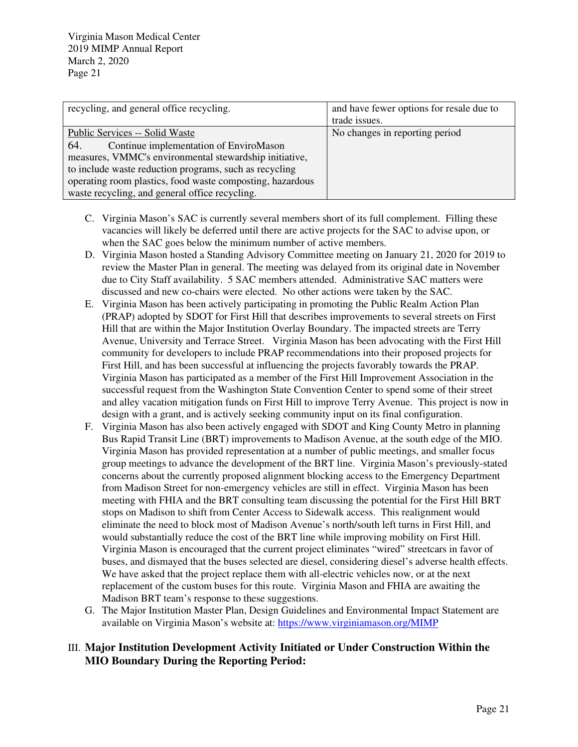| recycling, and general office recycling.                  | and have fewer options for resale due to |
|-----------------------------------------------------------|------------------------------------------|
|                                                           | trade issues.                            |
| <b>Public Services -- Solid Waste</b>                     | No changes in reporting period           |
| 64.<br>Continue implementation of EnviroMason             |                                          |
| measures, VMMC's environmental stewardship initiative,    |                                          |
| to include waste reduction programs, such as recycling    |                                          |
| operating room plastics, food waste composting, hazardous |                                          |
| waste recycling, and general office recycling.            |                                          |

- C. Virginia Mason's SAC is currently several members short of its full complement. Filling these vacancies will likely be deferred until there are active projects for the SAC to advise upon, or when the SAC goes below the minimum number of active members.
- D. Virginia Mason hosted a Standing Advisory Committee meeting on January 21, 2020 for 2019 to review the Master Plan in general. The meeting was delayed from its original date in November due to City Staff availability. 5 SAC members attended. Administrative SAC matters were discussed and new co-chairs were elected. No other actions were taken by the SAC.
- E. Virginia Mason has been actively participating in promoting the Public Realm Action Plan (PRAP) adopted by SDOT for First Hill that describes improvements to several streets on First Hill that are within the Major Institution Overlay Boundary. The impacted streets are Terry Avenue, University and Terrace Street. Virginia Mason has been advocating with the First Hill community for developers to include PRAP recommendations into their proposed projects for First Hill, and has been successful at influencing the projects favorably towards the PRAP. Virginia Mason has participated as a member of the First Hill Improvement Association in the successful request from the Washington State Convention Center to spend some of their street and alley vacation mitigation funds on First Hill to improve Terry Avenue. This project is now in design with a grant, and is actively seeking community input on its final configuration.
- F. Virginia Mason has also been actively engaged with SDOT and King County Metro in planning Bus Rapid Transit Line (BRT) improvements to Madison Avenue, at the south edge of the MIO. Virginia Mason has provided representation at a number of public meetings, and smaller focus group meetings to advance the development of the BRT line. Virginia Mason's previously-stated concerns about the currently proposed alignment blocking access to the Emergency Department from Madison Street for non-emergency vehicles are still in effect. Virginia Mason has been meeting with FHIA and the BRT consulting team discussing the potential for the First Hill BRT stops on Madison to shift from Center Access to Sidewalk access. This realignment would eliminate the need to block most of Madison Avenue's north/south left turns in First Hill, and would substantially reduce the cost of the BRT line while improving mobility on First Hill. Virginia Mason is encouraged that the current project eliminates "wired" streetcars in favor of buses, and dismayed that the buses selected are diesel, considering diesel's adverse health effects. We have asked that the project replace them with all-electric vehicles now, or at the next replacement of the custom buses for this route. Virginia Mason and FHIA are awaiting the Madison BRT team's response to these suggestions.
- G. The Major Institution Master Plan, Design Guidelines and Environmental Impact Statement are available on Virginia Mason's website at: https://www.virginiamason.org/MIMP

## III. **Major Institution Development Activity Initiated or Under Construction Within the MIO Boundary During the Reporting Period:**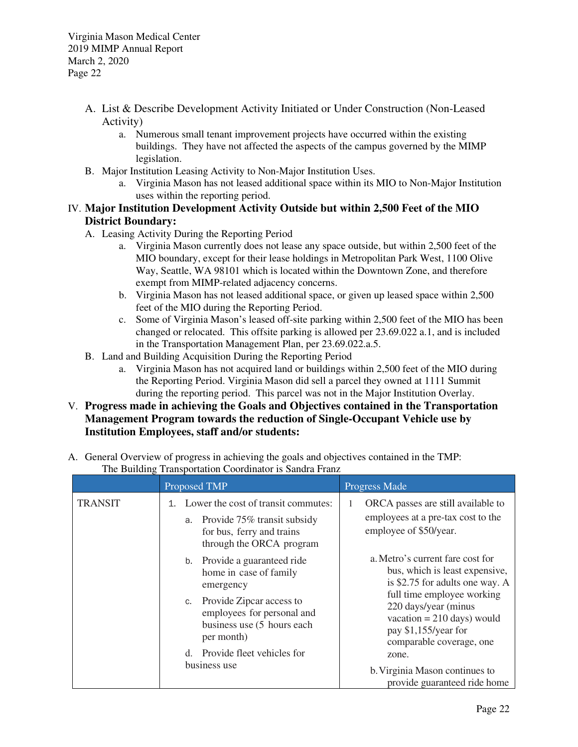- A. List & Describe Development Activity Initiated or Under Construction (Non-Leased Activity)
	- a. Numerous small tenant improvement projects have occurred within the existing buildings. They have not affected the aspects of the campus governed by the MIMP legislation.
- B. Major Institution Leasing Activity to Non-Major Institution Uses.
	- a. Virginia Mason has not leased additional space within its MIO to Non-Major Institution uses within the reporting period.

# IV. **Major Institution Development Activity Outside but within 2,500 Feet of the MIO District Boundary:**

- A. Leasing Activity During the Reporting Period
	- a. Virginia Mason currently does not lease any space outside, but within 2,500 feet of the MIO boundary, except for their lease holdings in Metropolitan Park West, 1100 Olive Way, Seattle, WA 98101 which is located within the Downtown Zone, and therefore exempt from MIMP-related adjacency concerns.
	- b. Virginia Mason has not leased additional space, or given up leased space within 2,500 feet of the MIO during the Reporting Period.
	- c. Some of Virginia Mason's leased off-site parking within 2,500 feet of the MIO has been changed or relocated. This offsite parking is allowed per 23.69.022 a.1, and is included in the Transportation Management Plan, per 23.69.022.a.5.
- B. Land and Building Acquisition During the Reporting Period
	- a. Virginia Mason has not acquired land or buildings within 2,500 feet of the MIO during the Reporting Period. Virginia Mason did sell a parcel they owned at 1111 Summit during the reporting period. This parcel was not in the Major Institution Overlay.
- V. **Progress made in achieving the Goals and Objectives contained in the Transportation Management Program towards the reduction of Single-Occupant Vehicle use by Institution Employees, staff and/or students:**
- A. General Overview of progress in achieving the goals and objectives contained in the TMP: The Building Transportation Coordinator is Sandra Franz

|                | Proposed TMP                                                                                                                   | <b>Progress Made</b>                                                                                                                                                                                                                            |
|----------------|--------------------------------------------------------------------------------------------------------------------------------|-------------------------------------------------------------------------------------------------------------------------------------------------------------------------------------------------------------------------------------------------|
| <b>TRANSIT</b> | Lower the cost of transit commutes:<br>a. Provide 75% transit subsidy<br>for bus, ferry and trains<br>through the ORCA program | ORCA passes are still available to<br>employees at a pre-tax cost to the<br>employee of \$50/year.                                                                                                                                              |
|                | Provide a guaranteed ride<br>b.<br>home in case of family<br>emergency                                                         | a. Metro's current fare cost for<br>bus, which is least expensive,<br>is \$2.75 for adults one way. A<br>full time employee working<br>220 days/year (minus<br>vacation = $210$ days) would<br>pay \$1,155/year for<br>comparable coverage, one |
|                | Provide Zipcar access to<br>C.<br>employees for personal and<br>business use (5 hours each<br>per month)                       |                                                                                                                                                                                                                                                 |
|                | d. Provide fleet vehicles for<br>business use                                                                                  | zone.<br>b. Virginia Mason continues to<br>provide guaranteed ride home                                                                                                                                                                         |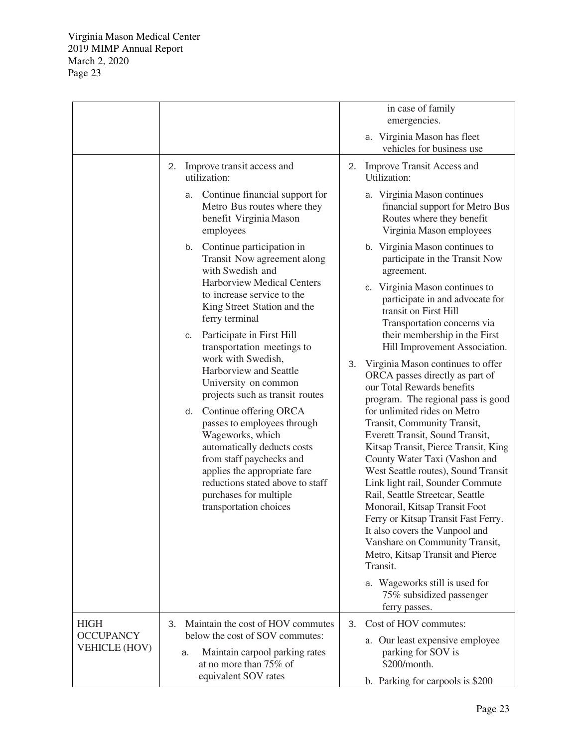|                                                         |                                                                                                                                                                                                                                                                                                                                                                                                                                                                                                                                                                                                                                                                                                                                                                                                                            | in case of family<br>emergencies.<br>a. Virginia Mason has fleet<br>vehicles for business use                                                                                                                                                                                                                                                                                                                                                                                                                                                                                                                                                                                                                                                                                                                                                                                                                                                                                                                                                                                                                                                                                              |
|---------------------------------------------------------|----------------------------------------------------------------------------------------------------------------------------------------------------------------------------------------------------------------------------------------------------------------------------------------------------------------------------------------------------------------------------------------------------------------------------------------------------------------------------------------------------------------------------------------------------------------------------------------------------------------------------------------------------------------------------------------------------------------------------------------------------------------------------------------------------------------------------|--------------------------------------------------------------------------------------------------------------------------------------------------------------------------------------------------------------------------------------------------------------------------------------------------------------------------------------------------------------------------------------------------------------------------------------------------------------------------------------------------------------------------------------------------------------------------------------------------------------------------------------------------------------------------------------------------------------------------------------------------------------------------------------------------------------------------------------------------------------------------------------------------------------------------------------------------------------------------------------------------------------------------------------------------------------------------------------------------------------------------------------------------------------------------------------------|
|                                                         | Improve transit access and<br>2.<br>utilization:<br>Continue financial support for<br>а.<br>Metro Bus routes where they<br>benefit Virginia Mason<br>employees<br>Continue participation in<br>b.<br>Transit Now agreement along<br>with Swedish and<br><b>Harborview Medical Centers</b><br>to increase service to the<br>King Street Station and the<br>ferry terminal<br>Participate in First Hill<br>c.<br>transportation meetings to<br>work with Swedish,<br>Harborview and Seattle<br>University on common<br>projects such as transit routes<br>Continue offering ORCA<br>d.<br>passes to employees through<br>Wageworks, which<br>automatically deducts costs<br>from staff paychecks and<br>applies the appropriate fare<br>reductions stated above to staff<br>purchases for multiple<br>transportation choices | <b>Improve Transit Access and</b><br>2.<br>Utilization:<br>a. Virginia Mason continues<br>financial support for Metro Bus<br>Routes where they benefit<br>Virginia Mason employees<br>b. Virginia Mason continues to<br>participate in the Transit Now<br>agreement.<br>c. Virginia Mason continues to<br>participate in and advocate for<br>transit on First Hill<br>Transportation concerns via<br>their membership in the First<br>Hill Improvement Association.<br>3.<br>Virginia Mason continues to offer<br>ORCA passes directly as part of<br>our Total Rewards benefits<br>program. The regional pass is good<br>for unlimited rides on Metro<br>Transit, Community Transit,<br>Everett Transit, Sound Transit,<br>Kitsap Transit, Pierce Transit, King<br>County Water Taxi (Vashon and<br>West Seattle routes), Sound Transit<br>Link light rail, Sounder Commute<br>Rail, Seattle Streetcar, Seattle<br>Monorail, Kitsap Transit Foot<br>Ferry or Kitsap Transit Fast Ferry.<br>It also covers the Vanpool and<br>Vanshare on Community Transit,<br>Metro, Kitsap Transit and Pierce<br>Transit.<br>a. Wageworks still is used for<br>75% subsidized passenger<br>ferry passes. |
| <b>HIGH</b><br><b>OCCUPANCY</b><br><b>VEHICLE (HOV)</b> | Maintain the cost of HOV commutes<br>3.<br>below the cost of SOV commutes:<br>Maintain carpool parking rates<br>a.<br>at no more than 75% of<br>equivalent SOV rates                                                                                                                                                                                                                                                                                                                                                                                                                                                                                                                                                                                                                                                       | Cost of HOV commutes:<br>3.<br>a. Our least expensive employee<br>parking for SOV is<br>\$200/month.<br>b. Parking for carpools is \$200                                                                                                                                                                                                                                                                                                                                                                                                                                                                                                                                                                                                                                                                                                                                                                                                                                                                                                                                                                                                                                                   |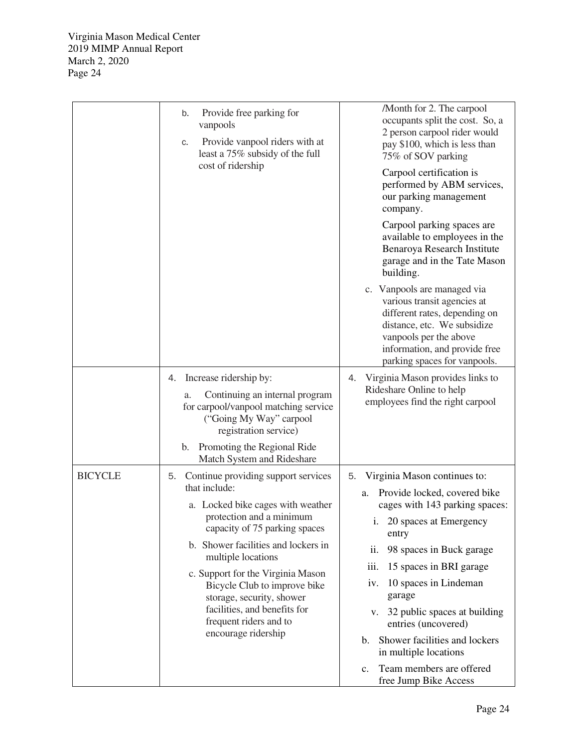|                | Provide free parking for<br>b.<br>vanpools<br>Provide vanpool riders with at<br>C.<br>least a 75% subsidy of the full<br>cost of ridership                                                                                                                                                                                                                                                                | /Month for 2. The carpool<br>occupants split the cost. So, a<br>2 person carpool rider would<br>pay \$100, which is less than<br>75% of SOV parking<br>Carpool certification is<br>performed by ABM services,<br>our parking management<br>company.                                                                                                                                                                                   |
|----------------|-----------------------------------------------------------------------------------------------------------------------------------------------------------------------------------------------------------------------------------------------------------------------------------------------------------------------------------------------------------------------------------------------------------|---------------------------------------------------------------------------------------------------------------------------------------------------------------------------------------------------------------------------------------------------------------------------------------------------------------------------------------------------------------------------------------------------------------------------------------|
|                |                                                                                                                                                                                                                                                                                                                                                                                                           | Carpool parking spaces are<br>available to employees in the<br>Benaroya Research Institute<br>garage and in the Tate Mason<br>building.                                                                                                                                                                                                                                                                                               |
|                |                                                                                                                                                                                                                                                                                                                                                                                                           | c. Vanpools are managed via<br>various transit agencies at<br>different rates, depending on<br>distance, etc. We subsidize<br>vanpools per the above<br>information, and provide free<br>parking spaces for vanpools.                                                                                                                                                                                                                 |
|                | Increase ridership by:<br>4.<br>Continuing an internal program<br>a.<br>for carpool/vanpool matching service<br>("Going My Way" carpool<br>registration service)<br>Promoting the Regional Ride<br>b.<br>Match System and Rideshare                                                                                                                                                                       | Virginia Mason provides links to<br>4.<br>Rideshare Online to help<br>employees find the right carpool                                                                                                                                                                                                                                                                                                                                |
| <b>BICYCLE</b> | 5. Continue providing support services<br>that include:<br>a. Locked bike cages with weather<br>protection and a minimum<br>capacity of 75 parking spaces<br>b. Shower facilities and lockers in<br>multiple locations<br>c. Support for the Virginia Mason<br>Bicycle Club to improve bike<br>storage, security, shower<br>facilities, and benefits for<br>frequent riders and to<br>encourage ridership | 5. Virginia Mason continues to:<br>Provide locked, covered bike<br>a.<br>cages with 143 parking spaces:<br>i. 20 spaces at Emergency<br>entry<br>98 spaces in Buck garage<br>ii.<br>15 spaces in BRI garage<br>iii.<br>10 spaces in Lindeman<br>iv.<br>garage<br>v. 32 public spaces at building<br>entries (uncovered)<br>Shower facilities and lockers<br>b.<br>in multiple locations<br>Team members are offered<br>$\mathbf{c}$ . |
|                |                                                                                                                                                                                                                                                                                                                                                                                                           | free Jump Bike Access                                                                                                                                                                                                                                                                                                                                                                                                                 |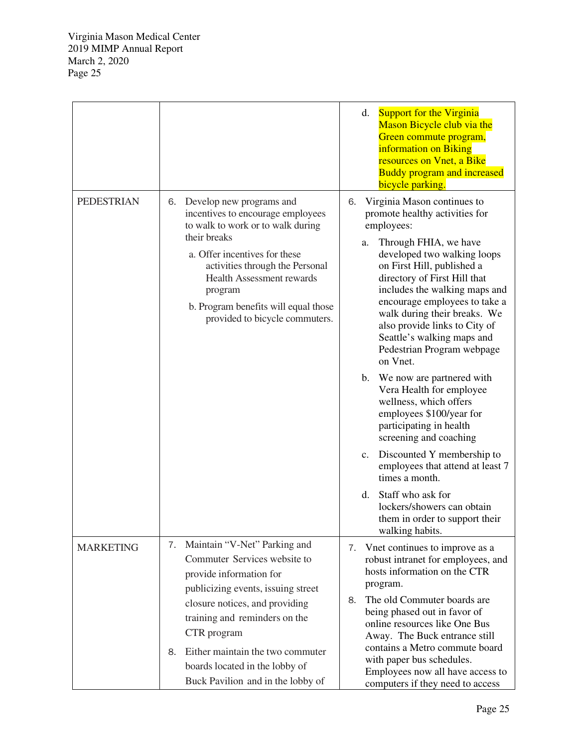|                   |                                                                                                                                                                                                                                                                                                                                     | <b>Support for the Virginia</b><br>d.<br>Mason Bicycle club via the<br>Green commute program,<br>information on Biking<br>resources on Vnet, a Bike<br><b>Buddy program and increased</b><br>bicycle parking.                                                                                                                                                                                                                                                                                                                                                                                                                                                                                                                                                                                                                   |
|-------------------|-------------------------------------------------------------------------------------------------------------------------------------------------------------------------------------------------------------------------------------------------------------------------------------------------------------------------------------|---------------------------------------------------------------------------------------------------------------------------------------------------------------------------------------------------------------------------------------------------------------------------------------------------------------------------------------------------------------------------------------------------------------------------------------------------------------------------------------------------------------------------------------------------------------------------------------------------------------------------------------------------------------------------------------------------------------------------------------------------------------------------------------------------------------------------------|
| <b>PEDESTRIAN</b> | 6. Develop new programs and<br>incentives to encourage employees<br>to walk to work or to walk during<br>their breaks<br>a. Offer incentives for these<br>activities through the Personal<br><b>Health Assessment rewards</b><br>program<br>b. Program benefits will equal those<br>provided to bicycle commuters.                  | Virginia Mason continues to<br>6.<br>promote healthy activities for<br>employees:<br>Through FHIA, we have<br>a.<br>developed two walking loops<br>on First Hill, published a<br>directory of First Hill that<br>includes the walking maps and<br>encourage employees to take a<br>walk during their breaks. We<br>also provide links to City of<br>Seattle's walking maps and<br>Pedestrian Program webpage<br>on Vnet.<br>$\mathbf{b}$ .<br>We now are partnered with<br>Vera Health for employee<br>wellness, which offers<br>employees \$100/year for<br>participating in health<br>screening and coaching<br>Discounted Y membership to<br>$c_{\cdot}$<br>employees that attend at least 7<br>times a month.<br>Staff who ask for<br>d.<br>lockers/showers can obtain<br>them in order to support their<br>walking habits. |
| <b>MARKETING</b>  | 7. Maintain "V-Net" Parking and<br>Commuter Services website to<br>provide information for<br>publicizing events, issuing street<br>closure notices, and providing<br>training and reminders on the<br>CTR program<br>Either maintain the two commuter<br>8.<br>boards located in the lobby of<br>Buck Pavilion and in the lobby of | Vnet continues to improve as a<br>7.<br>robust intranet for employees, and<br>hosts information on the CTR<br>program.<br>The old Commuter boards are<br>8.<br>being phased out in favor of<br>online resources like One Bus<br>Away. The Buck entrance still<br>contains a Metro commute board<br>with paper bus schedules.<br>Employees now all have access to<br>computers if they need to access                                                                                                                                                                                                                                                                                                                                                                                                                            |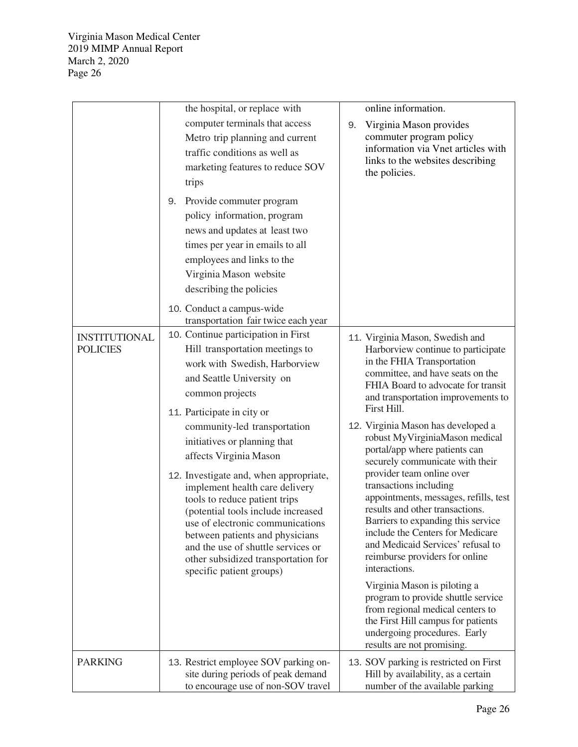|                                         | the hospital, or replace with                                                                                                                                                                                                                                                                                                                                                                                                                                                                                                                                                                                      | online information.                                                                                                                                                                                                                                                                                                                                                                                                                                                                                                                                                                                                                                                                                                                                                                                                                                                                               |
|-----------------------------------------|--------------------------------------------------------------------------------------------------------------------------------------------------------------------------------------------------------------------------------------------------------------------------------------------------------------------------------------------------------------------------------------------------------------------------------------------------------------------------------------------------------------------------------------------------------------------------------------------------------------------|---------------------------------------------------------------------------------------------------------------------------------------------------------------------------------------------------------------------------------------------------------------------------------------------------------------------------------------------------------------------------------------------------------------------------------------------------------------------------------------------------------------------------------------------------------------------------------------------------------------------------------------------------------------------------------------------------------------------------------------------------------------------------------------------------------------------------------------------------------------------------------------------------|
|                                         | computer terminals that access<br>Metro trip planning and current<br>traffic conditions as well as<br>marketing features to reduce SOV<br>trips<br>Provide commuter program<br>9.<br>policy information, program                                                                                                                                                                                                                                                                                                                                                                                                   | Virginia Mason provides<br>9.<br>commuter program policy<br>information via Vnet articles with<br>links to the websites describing<br>the policies.                                                                                                                                                                                                                                                                                                                                                                                                                                                                                                                                                                                                                                                                                                                                               |
|                                         | news and updates at least two<br>times per year in emails to all<br>employees and links to the<br>Virginia Mason website<br>describing the policies<br>10. Conduct a campus-wide<br>transportation fair twice each year                                                                                                                                                                                                                                                                                                                                                                                            |                                                                                                                                                                                                                                                                                                                                                                                                                                                                                                                                                                                                                                                                                                                                                                                                                                                                                                   |
| <b>INSTITUTIONAL</b><br><b>POLICIES</b> | 10. Continue participation in First<br>Hill transportation meetings to<br>work with Swedish, Harborview<br>and Seattle University on<br>common projects<br>11. Participate in city or<br>community-led transportation<br>initiatives or planning that<br>affects Virginia Mason<br>12. Investigate and, when appropriate,<br>implement health care delivery<br>tools to reduce patient trips<br>(potential tools include increased<br>use of electronic communications<br>between patients and physicians<br>and the use of shuttle services or<br>other subsidized transportation for<br>specific patient groups) | 11. Virginia Mason, Swedish and<br>Harborview continue to participate<br>in the FHIA Transportation<br>committee, and have seats on the<br>FHIA Board to advocate for transit<br>and transportation improvements to<br>First Hill.<br>12. Virginia Mason has developed a<br>robust MyVirginiaMason medical<br>portal/app where patients can<br>securely communicate with their<br>provider team online over<br>transactions including<br>appointments, messages, refills, test<br>results and other transactions.<br>Barriers to expanding this service<br>include the Centers for Medicare<br>and Medicaid Services' refusal to<br>reimburse providers for online<br>interactions.<br>Virginia Mason is piloting a<br>program to provide shuttle service<br>from regional medical centers to<br>the First Hill campus for patients<br>undergoing procedures. Early<br>results are not promising. |
| <b>PARKING</b>                          | 13. Restrict employee SOV parking on-<br>site during periods of peak demand<br>to encourage use of non-SOV travel                                                                                                                                                                                                                                                                                                                                                                                                                                                                                                  | 13. SOV parking is restricted on First<br>Hill by availability, as a certain<br>number of the available parking                                                                                                                                                                                                                                                                                                                                                                                                                                                                                                                                                                                                                                                                                                                                                                                   |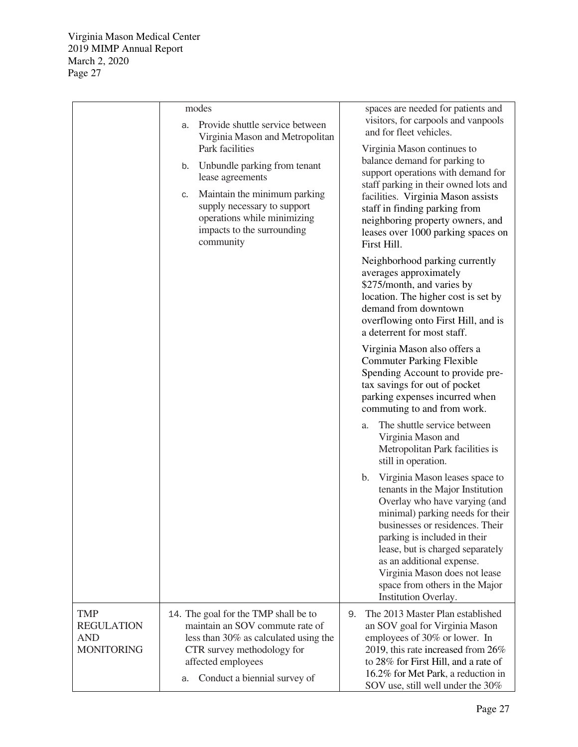|                                                                    | modes<br>Provide shuttle service between<br>a.                                                                                                                                                                                                              | spaces are needed for patients and<br>visitors, for carpools and vanpools<br>and for fleet vehicles.                                                                                                                                                                                                                                                                         |
|--------------------------------------------------------------------|-------------------------------------------------------------------------------------------------------------------------------------------------------------------------------------------------------------------------------------------------------------|------------------------------------------------------------------------------------------------------------------------------------------------------------------------------------------------------------------------------------------------------------------------------------------------------------------------------------------------------------------------------|
|                                                                    | Virginia Mason and Metropolitan<br>Park facilities<br>Unbundle parking from tenant<br>b.<br>lease agreements<br>Maintain the minimum parking<br>C.<br>supply necessary to support<br>operations while minimizing<br>impacts to the surrounding<br>community | Virginia Mason continues to<br>balance demand for parking to<br>support operations with demand for<br>staff parking in their owned lots and<br>facilities. Virginia Mason assists<br>staff in finding parking from<br>neighboring property owners, and<br>leases over 1000 parking spaces on<br>First Hill.                                                                  |
|                                                                    |                                                                                                                                                                                                                                                             | Neighborhood parking currently<br>averages approximately<br>\$275/month, and varies by<br>location. The higher cost is set by<br>demand from downtown<br>overflowing onto First Hill, and is<br>a deterrent for most staff.                                                                                                                                                  |
|                                                                    |                                                                                                                                                                                                                                                             | Virginia Mason also offers a<br><b>Commuter Parking Flexible</b><br>Spending Account to provide pre-<br>tax savings for out of pocket<br>parking expenses incurred when<br>commuting to and from work.                                                                                                                                                                       |
|                                                                    |                                                                                                                                                                                                                                                             | The shuttle service between<br>a.<br>Virginia Mason and<br>Metropolitan Park facilities is<br>still in operation.                                                                                                                                                                                                                                                            |
|                                                                    |                                                                                                                                                                                                                                                             | Virginia Mason leases space to<br>b.<br>tenants in the Major Institution<br>Overlay who have varying (and<br>minimal) parking needs for their<br>businesses or residences. Their<br>parking is included in their<br>lease, but is charged separately<br>as an additional expense.<br>Virginia Mason does not lease<br>space from others in the Major<br>Institution Overlay. |
| <b>TMP</b><br><b>REGULATION</b><br><b>AND</b><br><b>MONITORING</b> | 14. The goal for the TMP shall be to<br>maintain an SOV commute rate of<br>less than 30% as calculated using the<br>CTR survey methodology for<br>affected employees<br>Conduct a biennial survey of<br>a.                                                  | The 2013 Master Plan established<br>9.<br>an SOV goal for Virginia Mason<br>employees of 30% or lower. In<br>2019, this rate increased from 26%<br>to 28% for First Hill, and a rate of<br>16.2% for Met Park, a reduction in<br>SOV use, still well under the 30%                                                                                                           |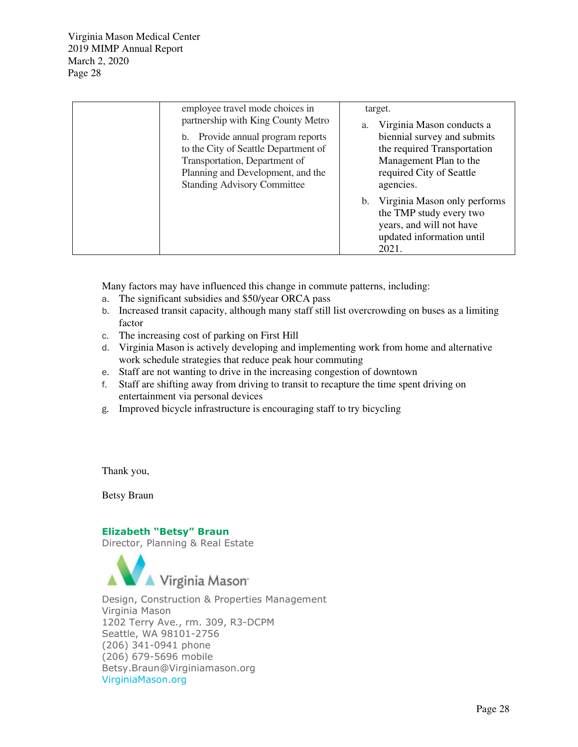| employee travel mode choices in<br>partnership with King County Metro                                                                                                                 | target.<br>Virginia Mason conducts a<br>a.                                                                                    |
|---------------------------------------------------------------------------------------------------------------------------------------------------------------------------------------|-------------------------------------------------------------------------------------------------------------------------------|
| b. Provide annual program reports<br>to the City of Seattle Department of<br>Transportation, Department of<br>Planning and Development, and the<br><b>Standing Advisory Committee</b> | biennial survey and submits<br>the required Transportation<br>Management Plan to the<br>required City of Seattle<br>agencies. |
|                                                                                                                                                                                       | b. Virginia Mason only performs<br>the TMP study every two<br>years, and will not have<br>updated information until<br>2021.  |

Many factors may have influenced this change in commute patterns, including:

- a. The significant subsidies and \$50/year ORCA pass
- b. Increased transit capacity, although many staff still list overcrowding on buses as a limiting factor
- c. The increasing cost of parking on First Hill
- d. Virginia Mason is actively developing and implementing work from home and alternative work schedule strategies that reduce peak hour commuting
- e. Staff are not wanting to drive in the increasing congestion of downtown
- f. Staff are shifting away from driving to transit to recapture the time spent driving on entertainment via personal devices
- g. Improved bicycle infrastructure is encouraging staff to try bicycling

Thank you,

Betsy Braun

### Elizabeth "Betsy" Braun

Director, Planning & Real Estate



Design, Construction & Properties Management Virginia Mason 1202 Terry Ave., rm. 309, R3-DCPM Seattle, WA 98101-2756 (206) 341-0941 phone (206) 679-5696 mobile Betsy.Braun@Virginiamason.org VirginiaMason.org